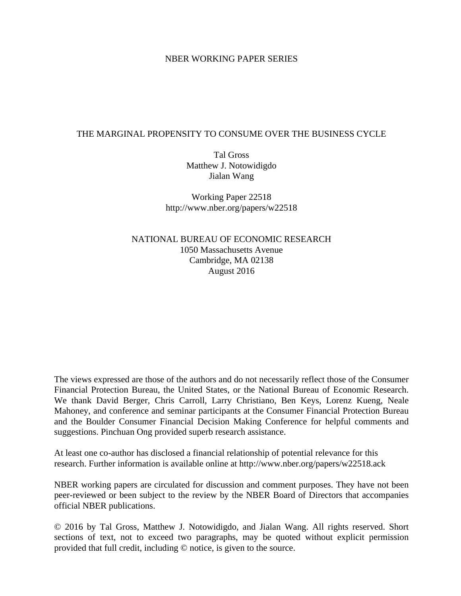### NBER WORKING PAPER SERIES

### THE MARGINAL PROPENSITY TO CONSUME OVER THE BUSINESS CYCLE

Tal Gross Matthew J. Notowidigdo Jialan Wang

Working Paper 22518 http://www.nber.org/papers/w22518

NATIONAL BUREAU OF ECONOMIC RESEARCH 1050 Massachusetts Avenue Cambridge, MA 02138 August 2016

The views expressed are those of the authors and do not necessarily reflect those of the Consumer Financial Protection Bureau, the United States, or the National Bureau of Economic Research. We thank David Berger, Chris Carroll, Larry Christiano, Ben Keys, Lorenz Kueng, Neale Mahoney, and conference and seminar participants at the Consumer Financial Protection Bureau and the Boulder Consumer Financial Decision Making Conference for helpful comments and suggestions. Pinchuan Ong provided superb research assistance.

At least one co-author has disclosed a financial relationship of potential relevance for this research. Further information is available online at http://www.nber.org/papers/w22518.ack

NBER working papers are circulated for discussion and comment purposes. They have not been peer-reviewed or been subject to the review by the NBER Board of Directors that accompanies official NBER publications.

© 2016 by Tal Gross, Matthew J. Notowidigdo, and Jialan Wang. All rights reserved. Short sections of text, not to exceed two paragraphs, may be quoted without explicit permission provided that full credit, including © notice, is given to the source.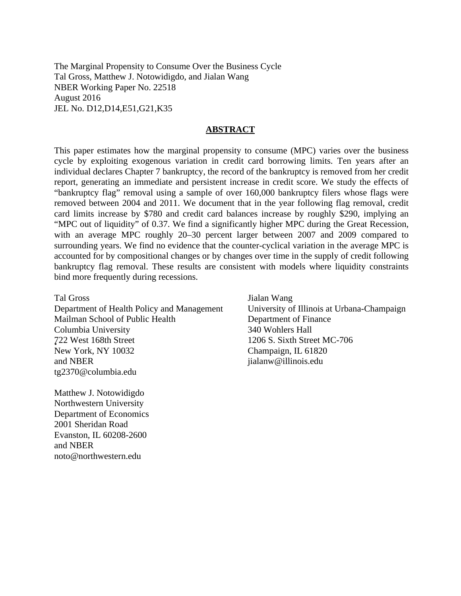The Marginal Propensity to Consume Over the Business Cycle Tal Gross, Matthew J. Notowidigdo, and Jialan Wang NBER Working Paper No. 22518 August 2016 JEL No. D12,D14,E51,G21,K35

#### **ABSTRACT**

This paper estimates how the marginal propensity to consume (MPC) varies over the business cycle by exploiting exogenous variation in credit card borrowing limits. Ten years after an individual declares Chapter 7 bankruptcy, the record of the bankruptcy is removed from her credit report, generating an immediate and persistent increase in credit score. We study the effects of "bankruptcy flag" removal using a sample of over 160,000 bankruptcy filers whose flags were removed between 2004 and 2011. We document that in the year following flag removal, credit card limits increase by \$780 and credit card balances increase by roughly \$290, implying an "MPC out of liquidity" of 0.37. We find a significantly higher MPC during the Great Recession, with an average MPC roughly 20–30 percent larger between 2007 and 2009 compared to surrounding years. We find no evidence that the counter-cyclical variation in the average MPC is accounted for by compositional changes or by changes over time in the supply of credit following bankruptcy flag removal. These results are consistent with models where liquidity constraints bind more frequently during recessions.

Tal Gross Department of Health Policy and Management Mailman School of Public Health Columbia University ¸˛722 West 168th Street New York, NY 10032 and NBER tg2370@columbia.edu

Matthew J. Notowidigdo Northwestern University Department of Economics 2001 Sheridan Road Evanston, IL 60208-2600 and NBER noto@northwestern.edu

Jialan Wang University of Illinois at Urbana-Champaign Department of Finance 340 Wohlers Hall 1206 S. Sixth Street MC-706 Champaign, IL 61820 jialanw@illinois.edu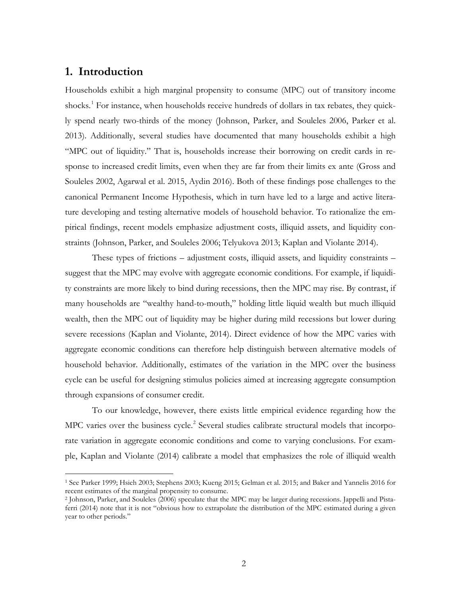# **1. Introduction**

 $\overline{a}$ 

Households exhibit a high marginal propensity to consume (MPC) out of transitory income shocks.<sup>[1](#page-2-0)</sup> For instance, when households receive hundreds of dollars in tax rebates, they quickly spend nearly two-thirds of the money (Johnson, Parker, and Souleles 2006, Parker et al. 2013). Additionally, several studies have documented that many households exhibit a high "MPC out of liquidity." That is, households increase their borrowing on credit cards in response to increased credit limits, even when they are far from their limits ex ante (Gross and Souleles 2002, Agarwal et al. 2015, Aydin 2016). Both of these findings pose challenges to the canonical Permanent Income Hypothesis, which in turn have led to a large and active literature developing and testing alternative models of household behavior. To rationalize the empirical findings, recent models emphasize adjustment costs, illiquid assets, and liquidity constraints (Johnson, Parker, and Souleles 2006; Telyukova 2013; Kaplan and Violante 2014).

These types of frictions – adjustment costs, illiquid assets, and liquidity constraints – suggest that the MPC may evolve with aggregate economic conditions. For example, if liquidity constraints are more likely to bind during recessions, then the MPC may rise. By contrast, if many households are "wealthy hand-to-mouth," holding little liquid wealth but much illiquid wealth, then the MPC out of liquidity may be higher during mild recessions but lower during severe recessions (Kaplan and Violante, 2014). Direct evidence of how the MPC varies with aggregate economic conditions can therefore help distinguish between alternative models of household behavior. Additionally, estimates of the variation in the MPC over the business cycle can be useful for designing stimulus policies aimed at increasing aggregate consumption through expansions of consumer credit.

To our knowledge, however, there exists little empirical evidence regarding how the MPC varies over the business cycle.<sup>[2](#page-3-0)</sup> Several studies calibrate structural models that incorporate variation in aggregate economic conditions and come to varying conclusions. For example, Kaplan and Violante (2014) calibrate a model that emphasizes the role of illiquid wealth

<span id="page-2-0"></span><sup>1</sup> See Parker 1999; Hsieh 2003; Stephens 2003; Kueng 2015; Gelman et al. 2015; and Baker and Yannelis 2016 for recent estimates of the marginal propensity to consume.

<sup>2</sup> Johnson, Parker, and Souleles (2006) speculate that the MPC may be larger during recessions. Jappelli and Pistaferri (2014) note that it is not "obvious how to extrapolate the distribution of the MPC estimated during a given year to other periods."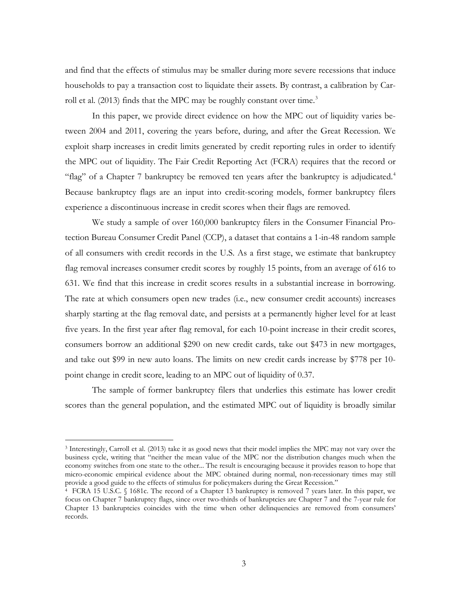and find that the effects of stimulus may be smaller during more severe recessions that induce households to pay a transaction cost to liquidate their assets. By contrast, a calibration by Carroll et al.  $(2013)$  $(2013)$  $(2013)$  finds that the MPC may be roughly constant over time.<sup>3</sup>

In this paper, we provide direct evidence on how the MPC out of liquidity varies between 2004 and 2011, covering the years before, during, and after the Great Recession. We exploit sharp increases in credit limits generated by credit reporting rules in order to identify the MPC out of liquidity. The Fair Credit Reporting Act (FCRA) requires that the record or "flag" of a Chapter 7 bankruptcy be removed ten years after the bankruptcy is adjudicated.<sup>[4](#page-3-2)</sup> Because bankruptcy flags are an input into credit-scoring models, former bankruptcy filers experience a discontinuous increase in credit scores when their flags are removed.

We study a sample of over 160,000 bankruptcy filers in the Consumer Financial Protection Bureau Consumer Credit Panel (CCP), a dataset that contains a 1-in-48 random sample of all consumers with credit records in the U.S. As a first stage, we estimate that bankruptcy flag removal increases consumer credit scores by roughly 15 points, from an average of 616 to 631. We find that this increase in credit scores results in a substantial increase in borrowing. The rate at which consumers open new trades (i.e., new consumer credit accounts) increases sharply starting at the flag removal date, and persists at a permanently higher level for at least five years. In the first year after flag removal, for each 10-point increase in their credit scores, consumers borrow an additional \$290 on new credit cards, take out \$473 in new mortgages, and take out \$99 in new auto loans. The limits on new credit cards increase by \$778 per 10 point change in credit score, leading to an MPC out of liquidity of 0.37.

The sample of former bankruptcy filers that underlies this estimate has lower credit scores than the general population, and the estimated MPC out of liquidity is broadly similar

<span id="page-3-1"></span><sup>3</sup> Interestingly, Carroll et al. (2013) take it as good news that their model implies the MPC may not vary over the business cycle, writing that "neither the mean value of the MPC nor the distribution changes much when the economy switches from one state to the other... The result is encouraging because it provides reason to hope that micro-economic empirical evidence about the MPC obtained during normal, non-recessionary times may still provide a good guide to the effects of stimulus for policymakers during the Great Recession."

<span id="page-3-2"></span><span id="page-3-0"></span><sup>4</sup> FCRA 15 U.S.C. § 1681c. The record of a Chapter 13 bankruptcy is removed 7 years later. In this paper, we focus on Chapter 7 bankruptcy flags, since over two-thirds of bankruptcies are Chapter 7 and the 7-year rule for Chapter 13 bankruptcies coincides with the time when other delinquencies are removed from consumers' records.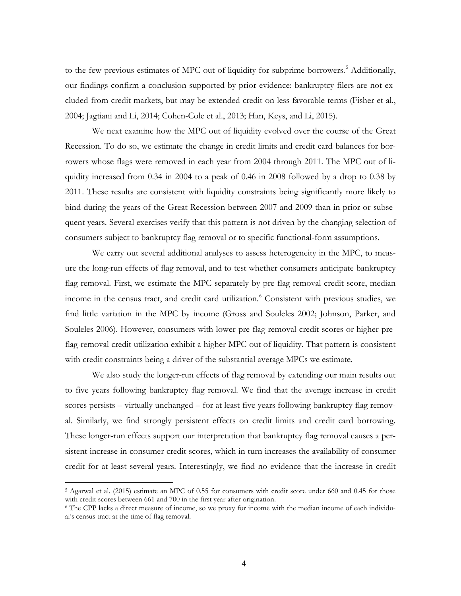to the few previous estimates of MPC out of liquidity for subprime borrowers.<sup>[5](#page-4-0)</sup> Additionally, our findings confirm a conclusion supported by prior evidence: bankruptcy filers are not excluded from credit markets, but may be extended credit on less favorable terms (Fisher et al., 2004; Jagtiani and Li, 2014; Cohen-Cole et al., 2013; Han, Keys, and Li, 2015).

We next examine how the MPC out of liquidity evolved over the course of the Great Recession. To do so, we estimate the change in credit limits and credit card balances for borrowers whose flags were removed in each year from 2004 through 2011. The MPC out of liquidity increased from 0.34 in 2004 to a peak of 0.46 in 2008 followed by a drop to 0.38 by 2011. These results are consistent with liquidity constraints being significantly more likely to bind during the years of the Great Recession between 2007 and 2009 than in prior or subsequent years. Several exercises verify that this pattern is not driven by the changing selection of consumers subject to bankruptcy flag removal or to specific functional-form assumptions.

We carry out several additional analyses to assess heterogeneity in the MPC, to measure the long-run effects of flag removal, and to test whether consumers anticipate bankruptcy flag removal. First, we estimate the MPC separately by pre-flag-removal credit score, median income in the census tract, and credit card utilization.<sup>[6](#page-5-0)</sup> Consistent with previous studies, we find little variation in the MPC by income (Gross and Souleles 2002; Johnson, Parker, and Souleles 2006). However, consumers with lower pre-flag-removal credit scores or higher preflag-removal credit utilization exhibit a higher MPC out of liquidity. That pattern is consistent with credit constraints being a driver of the substantial average MPCs we estimate.

We also study the longer-run effects of flag removal by extending our main results out to five years following bankruptcy flag removal. We find that the average increase in credit scores persists – virtually unchanged – for at least five years following bankruptcy flag removal. Similarly, we find strongly persistent effects on credit limits and credit card borrowing. These longer-run effects support our interpretation that bankruptcy flag removal causes a persistent increase in consumer credit scores, which in turn increases the availability of consumer credit for at least several years. Interestingly, we find no evidence that the increase in credit

<span id="page-4-0"></span><sup>5</sup> Agarwal et al. (2015) estimate an MPC of 0.55 for consumers with credit score under 660 and 0.45 for those with credit scores between 661 and 700 in the first year after origination.

<sup>6</sup> The CPP lacks a direct measure of income, so we proxy for income with the median income of each individual's census tract at the time of flag removal.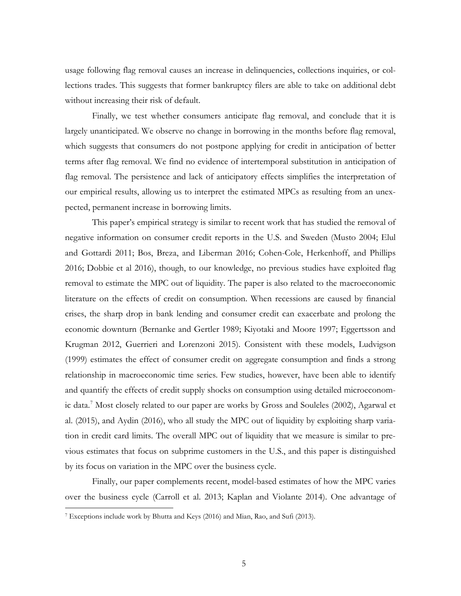usage following flag removal causes an increase in delinquencies, collections inquiries, or collections trades. This suggests that former bankruptcy filers are able to take on additional debt without increasing their risk of default.

Finally, we test whether consumers anticipate flag removal, and conclude that it is largely unanticipated. We observe no change in borrowing in the months before flag removal, which suggests that consumers do not postpone applying for credit in anticipation of better terms after flag removal. We find no evidence of intertemporal substitution in anticipation of flag removal. The persistence and lack of anticipatory effects simplifies the interpretation of our empirical results, allowing us to interpret the estimated MPCs as resulting from an unexpected, permanent increase in borrowing limits.

This paper's empirical strategy is similar to recent work that has studied the removal of negative information on consumer credit reports in the U.S. and Sweden (Musto 2004; Elul and Gottardi 2011; Bos, Breza, and Liberman 2016; Cohen-Cole, Herkenhoff, and Phillips 2016; Dobbie et al 2016), though, to our knowledge, no previous studies have exploited flag removal to estimate the MPC out of liquidity. The paper is also related to the macroeconomic literature on the effects of credit on consumption. When recessions are caused by financial crises, the sharp drop in bank lending and consumer credit can exacerbate and prolong the economic downturn (Bernanke and Gertler 1989; Kiyotaki and Moore 1997; Eggertsson and Krugman 2012, Guerrieri and Lorenzoni 2015). Consistent with these models, Ludvigson (1999) estimates the effect of consumer credit on aggregate consumption and finds a strong relationship in macroeconomic time series. Few studies, however, have been able to identify and quantify the effects of credit supply shocks on consumption using detailed microeconom-ic data.<sup>[7](#page-6-0)</sup> Most closely related to our paper are works by Gross and Souleles (2002), Agarwal et al. (2015), and Aydin (2016), who all study the MPC out of liquidity by exploiting sharp variation in credit card limits. The overall MPC out of liquidity that we measure is similar to previous estimates that focus on subprime customers in the U.S., and this paper is distinguished by its focus on variation in the MPC over the business cycle.

Finally, our paper complements recent, model-based estimates of how the MPC varies over the business cycle (Carroll et al. 2013; Kaplan and Violante 2014). One advantage of

<span id="page-5-0"></span><sup>7</sup> Exceptions include work by Bhutta and Keys (2016) and Mian, Rao, and Sufi (2013).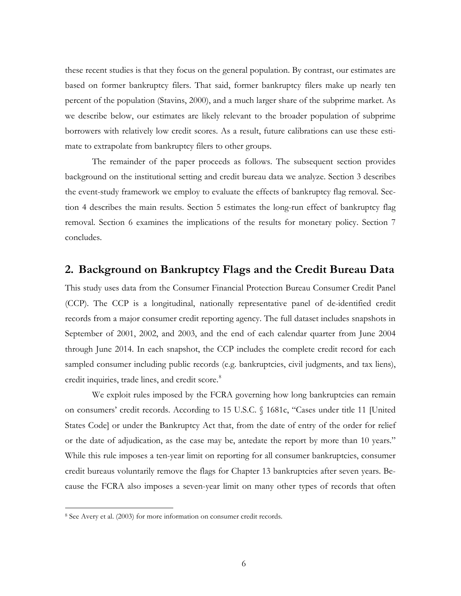these recent studies is that they focus on the general population. By contrast, our estimates are based on former bankruptcy filers. That said, former bankruptcy filers make up nearly ten percent of the population (Stavins, 2000), and a much larger share of the subprime market. As we describe below, our estimates are likely relevant to the broader population of subprime borrowers with relatively low credit scores. As a result, future calibrations can use these estimate to extrapolate from bankruptcy filers to other groups.

The remainder of the paper proceeds as follows. The subsequent section provides background on the institutional setting and credit bureau data we analyze. Section 3 describes the event-study framework we employ to evaluate the effects of bankruptcy flag removal. Section 4 describes the main results. Section 5 estimates the long-run effect of bankruptcy flag removal. Section 6 examines the implications of the results for monetary policy. Section 7 concludes.

# **2. Background on Bankruptcy Flags and the Credit Bureau Data**

This study uses data from the Consumer Financial Protection Bureau Consumer Credit Panel (CCP). The CCP is a longitudinal, nationally representative panel of de-identified credit records from a major consumer credit reporting agency. The full dataset includes snapshots in September of 2001, 2002, and 2003, and the end of each calendar quarter from June 2004 through June 2014. In each snapshot, the CCP includes the complete credit record for each sampled consumer including public records (e.g. bankruptcies, civil judgments, and tax liens), credit inquiries, trade lines, and credit score.<sup>[8](#page-7-0)</sup>

We exploit rules imposed by the FCRA governing how long bankruptcies can remain on consumers' credit records. According to 15 U.S.C. § 1681c, "Cases under title 11 [United States Code] or under the Bankruptcy Act that, from the date of entry of the order for relief or the date of adjudication, as the case may be, antedate the report by more than 10 years." While this rule imposes a ten-year limit on reporting for all consumer bankruptcies, consumer credit bureaus voluntarily remove the flags for Chapter 13 bankruptcies after seven years. Because the FCRA also imposes a seven-year limit on many other types of records that often

<span id="page-6-0"></span><sup>8</sup> See Avery et al. (2003) for more information on consumer credit records.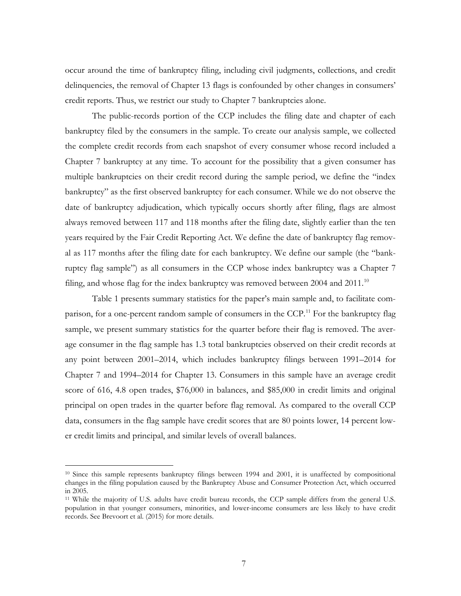occur around the time of bankruptcy filing, including civil judgments, collections, and credit delinquencies, the removal of Chapter 13 flags is confounded by other changes in consumers' credit reports. Thus, we restrict our study to Chapter 7 bankruptcies alone.

The public-records portion of the CCP includes the filing date and chapter of each bankruptcy filed by the consumers in the sample. To create our analysis sample, we collected the complete credit records from each snapshot of every consumer whose record included a Chapter 7 bankruptcy at any time. To account for the possibility that a given consumer has multiple bankruptcies on their credit record during the sample period, we define the "index bankruptcy" as the first observed bankruptcy for each consumer. While we do not observe the date of bankruptcy adjudication, which typically occurs shortly after filing, flags are almost always removed between 117 and 118 months after the filing date, slightly earlier than the ten years required by the Fair Credit Reporting Act. We define the date of bankruptcy flag removal as 117 months after the filing date for each bankruptcy. We define our sample (the "bankruptcy flag sample") as all consumers in the CCP whose index bankruptcy was a Chapter 7 filing, and whose flag for the index bankruptcy was removed between 2004 and  $2011.^{10}$  $2011.^{10}$  $2011.^{10}$ 

Table 1 presents summary statistics for the paper's main sample and, to facilitate com-parison, for a one-percent random sample of consumers in the CCP.<sup>[11](#page-8-1)</sup> For the bankruptcy flag sample, we present summary statistics for the quarter before their flag is removed. The average consumer in the flag sample has 1.3 total bankruptcies observed on their credit records at any point between 2001–2014, which includes bankruptcy filings between 1991–2014 for Chapter 7 and 1994–2014 for Chapter 13. Consumers in this sample have an average credit score of 616, 4.8 open trades, \$76,000 in balances, and \$85,000 in credit limits and original principal on open trades in the quarter before flag removal. As compared to the overall CCP data, consumers in the flag sample have credit scores that are 80 points lower, 14 percent lower credit limits and principal, and similar levels of overall balances.

<sup>10</sup> Since this sample represents bankruptcy filings between 1994 and 2001, it is unaffected by compositional changes in the filing population caused by the Bankruptcy Abuse and Consumer Protection Act, which occurred in 2005.

<span id="page-7-0"></span><sup>11</sup> While the majority of U.S. adults have credit bureau records, the CCP sample differs from the general U.S. population in that younger consumers, minorities, and lower-income consumers are less likely to have credit records. See Brevoort et al. (2015) for more details.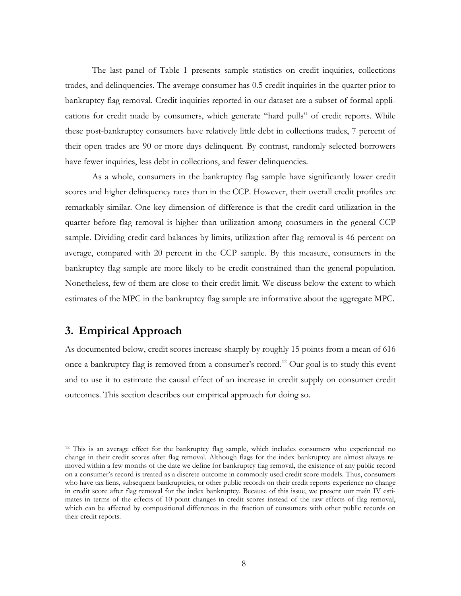The last panel of Table 1 presents sample statistics on credit inquiries, collections trades, and delinquencies. The average consumer has 0.5 credit inquiries in the quarter prior to bankruptcy flag removal. Credit inquiries reported in our dataset are a subset of formal applications for credit made by consumers, which generate "hard pulls" of credit reports. While these post-bankruptcy consumers have relatively little debt in collections trades, 7 percent of their open trades are 90 or more days delinquent. By contrast, randomly selected borrowers have fewer inquiries, less debt in collections, and fewer delinquencies.

As a whole, consumers in the bankruptcy flag sample have significantly lower credit scores and higher delinquency rates than in the CCP. However, their overall credit profiles are remarkably similar. One key dimension of difference is that the credit card utilization in the quarter before flag removal is higher than utilization among consumers in the general CCP sample. Dividing credit card balances by limits, utilization after flag removal is 46 percent on average, compared with 20 percent in the CCP sample. By this measure, consumers in the bankruptcy flag sample are more likely to be credit constrained than the general population. Nonetheless, few of them are close to their credit limit. We discuss below the extent to which estimates of the MPC in the bankruptcy flag sample are informative about the aggregate MPC.

# **3. Empirical Approach**

 $\overline{a}$ 

As documented below, credit scores increase sharply by roughly 15 points from a mean of 616 once a bankruptcy flag is removed from a consumer's record.<sup>[12](#page-9-0)</sup> Our goal is to study this event and to use it to estimate the causal effect of an increase in credit supply on consumer credit outcomes. This section describes our empirical approach for doing so.

<span id="page-8-1"></span><span id="page-8-0"></span><sup>12</sup> This is an average effect for the bankruptcy flag sample, which includes consumers who experienced no change in their credit scores after flag removal. Although flags for the index bankruptcy are almost always removed within a few months of the date we define for bankruptcy flag removal, the existence of any public record on a consumer's record is treated as a discrete outcome in commonly used credit score models. Thus, consumers who have tax liens, subsequent bankruptcies, or other public records on their credit reports experience no change in credit score after flag removal for the index bankruptcy. Because of this issue, we present our main IV estimates in terms of the effects of 10-point changes in credit scores instead of the raw effects of flag removal, which can be affected by compositional differences in the fraction of consumers with other public records on their credit reports.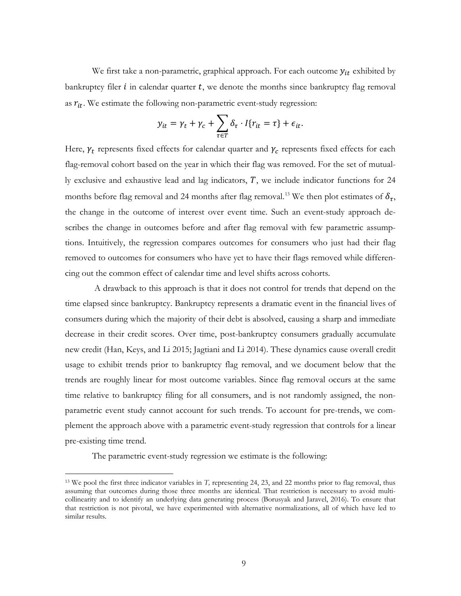We first take a non-parametric, graphical approach. For each outcome  $y_{it}$  exhibited by bankruptcy filer  $i$  in calendar quarter  $t$ , we denote the months since bankruptcy flag removal as  $r_{it}$ . We estimate the following non-parametric event-study regression:

$$
y_{it} = \gamma_t + \gamma_c + \sum_{\tau \in T} \delta_{\tau} \cdot I\{r_{it} = \tau\} + \epsilon_{it}.
$$

Here,  $\gamma_t$  represents fixed effects for calendar quarter and  $\gamma_c$  represents fixed effects for each flag-removal cohort based on the year in which their flag was removed. For the set of mutually exclusive and exhaustive lead and lag indicators,  $T$ , we include indicator functions for 24 months before flag removal and 24 months after flag removal.<sup>[13](#page-10-0)</sup> We then plot estimates of  $\delta_{\tau}$ , the change in the outcome of interest over event time. Such an event-study approach describes the change in outcomes before and after flag removal with few parametric assumptions. Intuitively, the regression compares outcomes for consumers who just had their flag removed to outcomes for consumers who have yet to have their flags removed while differencing out the common effect of calendar time and level shifts across cohorts.

A drawback to this approach is that it does not control for trends that depend on the time elapsed since bankruptcy. Bankruptcy represents a dramatic event in the financial lives of consumers during which the majority of their debt is absolved, causing a sharp and immediate decrease in their credit scores. Over time, post-bankruptcy consumers gradually accumulate new credit (Han, Keys, and Li 2015; Jagtiani and Li 2014). These dynamics cause overall credit usage to exhibit trends prior to bankruptcy flag removal, and we document below that the trends are roughly linear for most outcome variables. Since flag removal occurs at the same time relative to bankruptcy filing for all consumers, and is not randomly assigned, the nonparametric event study cannot account for such trends. To account for pre-trends, we complement the approach above with a parametric event-study regression that controls for a linear pre-existing time trend.

The parametric event-study regression we estimate is the following:

<span id="page-9-0"></span><sup>13</sup> We pool the first three indicator variables in *T,* representing 24, 23, and 22 months prior to flag removal, thus assuming that outcomes during those three months are identical. That restriction is necessary to avoid multicollinearity and to identify an underlying data generating process (Borusyak and Jaravel, 2016). To ensure that that restriction is not pivotal, we have experimented with alternative normalizations, all of which have led to similar results.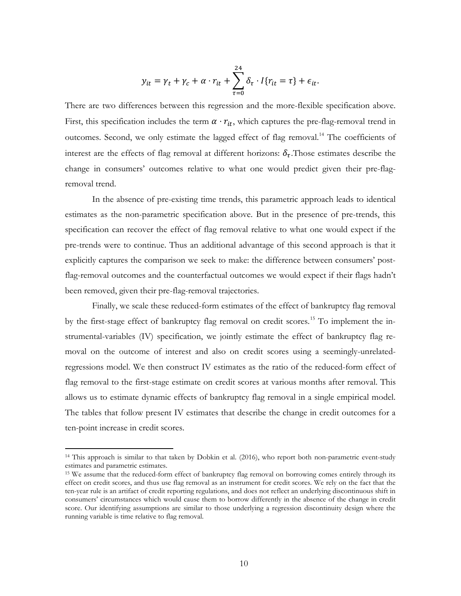$$
y_{it} = \gamma_t + \gamma_c + \alpha \cdot r_{it} + \sum_{\tau=0}^{24} \delta_{\tau} \cdot I\{r_{it} = \tau\} + \epsilon_{it}.
$$

There are two differences between this regression and the more-flexible specification above. First, this specification includes the term  $\alpha \cdot r_{it}$ , which captures the pre-flag-removal trend in outcomes. Second, we only estimate the lagged effect of flag removal.<sup>[14](#page-11-0)</sup> The coefficients of interest are the effects of flag removal at different horizons:  $\delta_{\tau}$ . Those estimates describe the change in consumers' outcomes relative to what one would predict given their pre-flagremoval trend.

In the absence of pre-existing time trends, this parametric approach leads to identical estimates as the non-parametric specification above. But in the presence of pre-trends, this specification can recover the effect of flag removal relative to what one would expect if the pre-trends were to continue. Thus an additional advantage of this second approach is that it explicitly captures the comparison we seek to make: the difference between consumers' postflag-removal outcomes and the counterfactual outcomes we would expect if their flags hadn't been removed, given their pre-flag-removal trajectories.

Finally, we scale these reduced-form estimates of the effect of bankruptcy flag removal by the first-stage effect of bankruptcy flag removal on credit scores.<sup>[15](#page-11-1)</sup> To implement the instrumental-variables (IV) specification, we jointly estimate the effect of bankruptcy flag removal on the outcome of interest and also on credit scores using a seemingly-unrelatedregressions model. We then construct IV estimates as the ratio of the reduced-form effect of flag removal to the first-stage estimate on credit scores at various months after removal. This allows us to estimate dynamic effects of bankruptcy flag removal in a single empirical model. The tables that follow present IV estimates that describe the change in credit outcomes for a ten-point increase in credit scores.

<sup>14</sup> This approach is similar to that taken by Dobkin et al. (2016), who report both non-parametric event-study estimates and parametric estimates.

<span id="page-10-0"></span><sup>15</sup> We assume that the reduced-form effect of bankruptcy flag removal on borrowing comes entirely through its effect on credit scores, and thus use flag removal as an instrument for credit scores. We rely on the fact that the ten-year rule is an artifact of credit reporting regulations, and does not reflect an underlying discontinuous shift in consumers' circumstances which would cause them to borrow differently in the absence of the change in credit score. Our identifying assumptions are similar to those underlying a regression discontinuity design where the running variable is time relative to flag removal.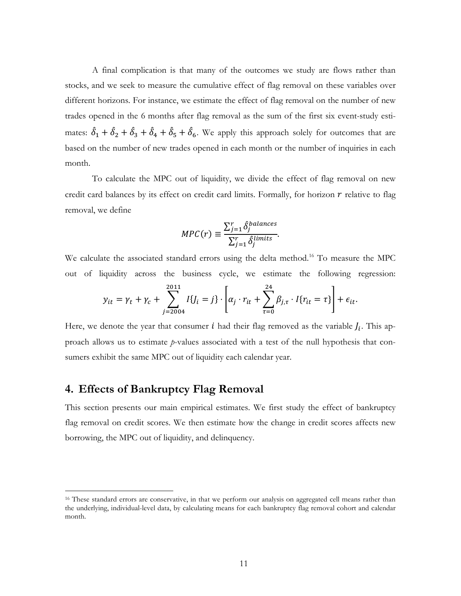A final complication is that many of the outcomes we study are flows rather than stocks, and we seek to measure the cumulative effect of flag removal on these variables over different horizons. For instance, we estimate the effect of flag removal on the number of new trades opened in the 6 months after flag removal as the sum of the first six event-study estimates:  $\delta_1 + \delta_2 + \delta_3 + \delta_4 + \delta_5 + \delta_6$ . We apply this approach solely for outcomes that are based on the number of new trades opened in each month or the number of inquiries in each month.

To calculate the MPC out of liquidity, we divide the effect of flag removal on new credit card balances by its effect on credit card limits. Formally, for horizon  $r$  relative to flag removal, we define

$$
MPC(r) \equiv \frac{\sum_{j=1}^{r} \hat{\delta}_{j}^{balance}}{\sum_{j=1}^{r} \hat{\delta}_{j}^{limits}}.
$$

We calculate the associated standard errors using the delta method.<sup>[16](#page-12-0)</sup> To measure the MPC out of liquidity across the business cycle, we estimate the following regression:

$$
y_{it} = \gamma_t + \gamma_c + \sum_{j=2004}^{2011} I\{J_i = j\} \cdot \left[ \alpha_j \cdot r_{it} + \sum_{\tau=0}^{24} \beta_{j,\tau} \cdot I\{r_{it} = \tau\} \right] + \epsilon_{it}.
$$

Here, we denote the year that consumer *i* had their flag removed as the variable  $J_i$ . This approach allows us to estimate *p*-values associated with a test of the null hypothesis that consumers exhibit the same MPC out of liquidity each calendar year.

## **4. Effects of Bankruptcy Flag Removal**

<span id="page-11-1"></span><span id="page-11-0"></span> $\overline{a}$ 

This section presents our main empirical estimates. We first study the effect of bankruptcy flag removal on credit scores. We then estimate how the change in credit scores affects new borrowing, the MPC out of liquidity, and delinquency.

<sup>&</sup>lt;sup>16</sup> These standard errors are conservative, in that we perform our analysis on aggregated cell means rather than the underlying, individual-level data, by calculating means for each bankruptcy flag removal cohort and calendar month.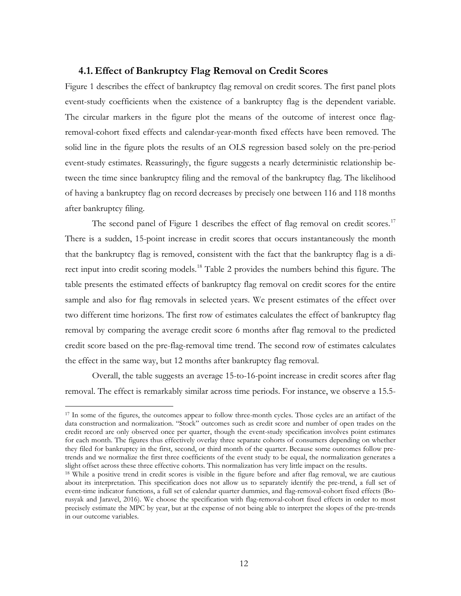### **4.1. Effect of Bankruptcy Flag Removal on Credit Scores**

Figure 1 describes the effect of bankruptcy flag removal on credit scores. The first panel plots event-study coefficients when the existence of a bankruptcy flag is the dependent variable. The circular markers in the figure plot the means of the outcome of interest once flagremoval-cohort fixed effects and calendar-year-month fixed effects have been removed. The solid line in the figure plots the results of an OLS regression based solely on the pre-period event-study estimates. Reassuringly, the figure suggests a nearly deterministic relationship between the time since bankruptcy filing and the removal of the bankruptcy flag. The likelihood of having a bankruptcy flag on record decreases by precisely one between 116 and 118 months after bankruptcy filing.

The second panel of Figure 1 describes the effect of flag removal on credit scores.<sup>17</sup> There is a sudden, 15-point increase in credit scores that occurs instantaneously the month that the bankruptcy flag is removed, consistent with the fact that the bankruptcy flag is a di-rect input into credit scoring models.<sup>[18](#page-13-1)</sup> Table 2 provides the numbers behind this figure. The table presents the estimated effects of bankruptcy flag removal on credit scores for the entire sample and also for flag removals in selected years. We present estimates of the effect over two different time horizons. The first row of estimates calculates the effect of bankruptcy flag removal by comparing the average credit score 6 months after flag removal to the predicted credit score based on the pre-flag-removal time trend. The second row of estimates calculates the effect in the same way, but 12 months after bankruptcy flag removal.

Overall, the table suggests an average 15-to-16-point increase in credit scores after flag removal. The effect is remarkably similar across time periods. For instance, we observe a 15.5-

<sup>&</sup>lt;sup>17</sup> In some of the figures, the outcomes appear to follow three-month cycles. Those cycles are an artifact of the data construction and normalization. "Stock" outcomes such as credit score and number of open trades on the credit record are only observed once per quarter, though the event-study specification involves point estimates for each month. The figures thus effectively overlay three separate cohorts of consumers depending on whether they filed for bankruptcy in the first, second, or third month of the quarter. Because some outcomes follow pretrends and we normalize the first three coefficients of the event study to be equal, the normalization generates a slight offset across these three effective cohorts. This normalization has very little impact on the results.

<span id="page-12-0"></span><sup>&</sup>lt;sup>18</sup> While a positive trend in credit scores is visible in the figure before and after flag removal, we are cautious about its interpretation. This specification does not allow us to separately identify the pre-trend, a full set of event-time indicator functions, a full set of calendar quarter dummies, and flag-removal-cohort fixed effects (Borusyak and Jaravel, 2016). We choose the specification with flag-removal-cohort fixed effects in order to most precisely estimate the MPC by year, but at the expense of not being able to interpret the slopes of the pre-trends in our outcome variables.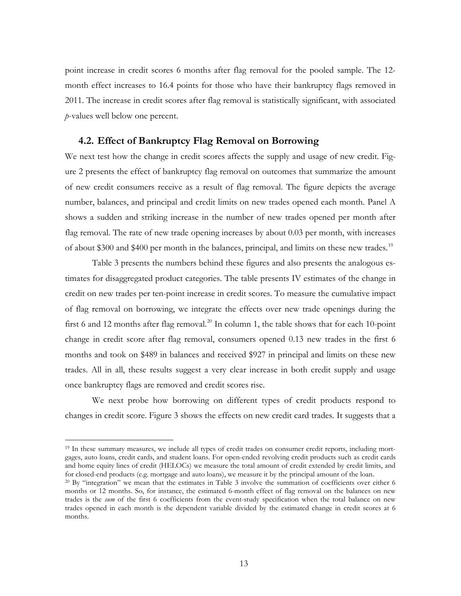point increase in credit scores 6 months after flag removal for the pooled sample. The 12 month effect increases to 16.4 points for those who have their bankruptcy flags removed in 2011. The increase in credit scores after flag removal is statistically significant, with associated *p*-values well below one percent.

### **4.2. Effect of Bankruptcy Flag Removal on Borrowing**

We next test how the change in credit scores affects the supply and usage of new credit. Figure 2 presents the effect of bankruptcy flag removal on outcomes that summarize the amount of new credit consumers receive as a result of flag removal. The figure depicts the average number, balances, and principal and credit limits on new trades opened each month. Panel A shows a sudden and striking increase in the number of new trades opened per month after flag removal. The rate of new trade opening increases by about 0.03 per month, with increases of about \$300 and \$400 per month in the balances, principal, and limits on these new trades.<sup>[19](#page-14-0)</sup>

Table 3 presents the numbers behind these figures and also presents the analogous estimates for disaggregated product categories. The table presents IV estimates of the change in credit on new trades per ten-point increase in credit scores. To measure the cumulative impact of flag removal on borrowing, we integrate the effects over new trade openings during the first 6 and 12 months after flag removal.<sup>[20](#page-14-1)</sup> In column 1, the table shows that for each 10-point change in credit score after flag removal, consumers opened 0.13 new trades in the first 6 months and took on \$489 in balances and received \$927 in principal and limits on these new trades. All in all, these results suggest a very clear increase in both credit supply and usage once bankruptcy flags are removed and credit scores rise.

<span id="page-13-0"></span>We next probe how borrowing on different types of credit products respond to changes in credit score. Figure 3 shows the effects on new credit card trades. It suggests that a

<sup>&</sup>lt;sup>19</sup> In these summary measures, we include all types of credit trades on consumer credit reports, including mortgages, auto loans, credit cards, and student loans. For open-ended revolving credit products such as credit cards and home equity lines of credit (HELOCs) we measure the total amount of credit extended by credit limits, and for closed-end products (e.g. mortgage and auto loans), we measure it by the principal amount of the loan.

<span id="page-13-1"></span><sup>20</sup> By "integration" we mean that the estimates in Table 3 involve the summation of coefficients over either 6 months or 12 months. So, for instance, the estimated 6-month effect of flag removal on the balances on new trades is the *sum* of the first 6 coefficients from the event-study specification when the total balance on new trades opened in each month is the dependent variable divided by the estimated change in credit scores at 6 months.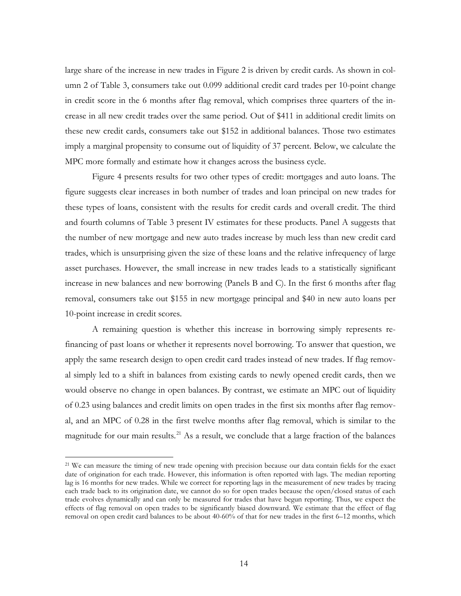large share of the increase in new trades in Figure 2 is driven by credit cards. As shown in column 2 of Table 3, consumers take out 0.099 additional credit card trades per 10-point change in credit score in the 6 months after flag removal, which comprises three quarters of the increase in all new credit trades over the same period. Out of \$411 in additional credit limits on these new credit cards, consumers take out \$152 in additional balances. Those two estimates imply a marginal propensity to consume out of liquidity of 37 percent. Below, we calculate the MPC more formally and estimate how it changes across the business cycle.

Figure 4 presents results for two other types of credit: mortgages and auto loans. The figure suggests clear increases in both number of trades and loan principal on new trades for these types of loans, consistent with the results for credit cards and overall credit. The third and fourth columns of Table 3 present IV estimates for these products. Panel A suggests that the number of new mortgage and new auto trades increase by much less than new credit card trades, which is unsurprising given the size of these loans and the relative infrequency of large asset purchases. However, the small increase in new trades leads to a statistically significant increase in new balances and new borrowing (Panels B and C). In the first 6 months after flag removal, consumers take out \$155 in new mortgage principal and \$40 in new auto loans per 10-point increase in credit scores.

A remaining question is whether this increase in borrowing simply represents refinancing of past loans or whether it represents novel borrowing. To answer that question, we apply the same research design to open credit card trades instead of new trades. If flag removal simply led to a shift in balances from existing cards to newly opened credit cards, then we would observe no change in open balances. By contrast, we estimate an MPC out of liquidity of 0.23 using balances and credit limits on open trades in the first six months after flag removal, and an MPC of 0.28 in the first twelve months after flag removal, which is similar to the magnitude for our main results.<sup>[21](#page-16-0)</sup> As a result, we conclude that a large fraction of the balances

<span id="page-14-1"></span><span id="page-14-0"></span><sup>21</sup> We can measure the timing of new trade opening with precision because our data contain fields for the exact date of origination for each trade. However, this information is often reported with lags. The median reporting lag is 16 months for new trades. While we correct for reporting lags in the measurement of new trades by tracing each trade back to its origination date, we cannot do so for open trades because the open/closed status of each trade evolves dynamically and can only be measured for trades that have begun reporting. Thus, we expect the effects of flag removal on open trades to be significantly biased downward. We estimate that the effect of flag removal on open credit card balances to be about 40-60% of that for new trades in the first 6–12 months, which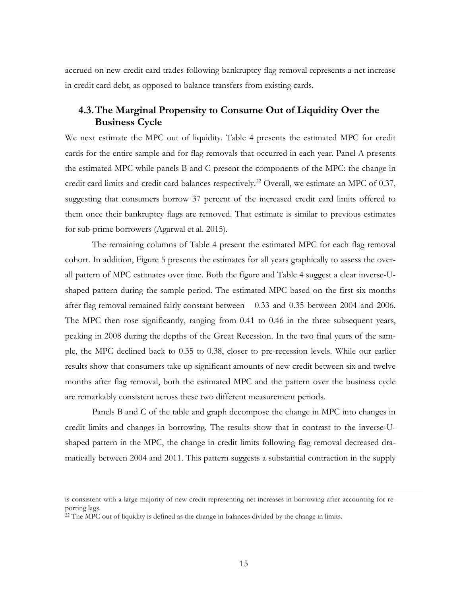accrued on new credit card trades following bankruptcy flag removal represents a net increase in credit card debt, as opposed to balance transfers from existing cards.

# **4.3.The Marginal Propensity to Consume Out of Liquidity Over the Business Cycle**

We next estimate the MPC out of liquidity. Table 4 presents the estimated MPC for credit cards for the entire sample and for flag removals that occurred in each year. Panel A presents the estimated MPC while panels B and C present the components of the MPC: the change in credit card limits and credit card balances respectively.<sup>[22](#page-16-1)</sup> Overall, we estimate an MPC of 0.37, suggesting that consumers borrow 37 percent of the increased credit card limits offered to them once their bankruptcy flags are removed. That estimate is similar to previous estimates for sub-prime borrowers (Agarwal et al. 2015).

The remaining columns of Table 4 present the estimated MPC for each flag removal cohort. In addition, Figure 5 presents the estimates for all years graphically to assess the overall pattern of MPC estimates over time. Both the figure and Table 4 suggest a clear inverse-Ushaped pattern during the sample period. The estimated MPC based on the first six months after flag removal remained fairly constant between 0.33 and 0.35 between 2004 and 2006. The MPC then rose significantly, ranging from 0.41 to 0.46 in the three subsequent years, peaking in 2008 during the depths of the Great Recession. In the two final years of the sample, the MPC declined back to 0.35 to 0.38, closer to pre-recession levels. While our earlier results show that consumers take up significant amounts of new credit between six and twelve months after flag removal, both the estimated MPC and the pattern over the business cycle are remarkably consistent across these two different measurement periods.

Panels B and C of the table and graph decompose the change in MPC into changes in credit limits and changes in borrowing. The results show that in contrast to the inverse-Ushaped pattern in the MPC, the change in credit limits following flag removal decreased dramatically between 2004 and 2011. This pattern suggests a substantial contraction in the supply

is consistent with a large majority of new credit representing net increases in borrowing after accounting for reporting lags.<br><sup>22</sup> The MPC out of liquidity is defined as the change in balances divided by the change in limits.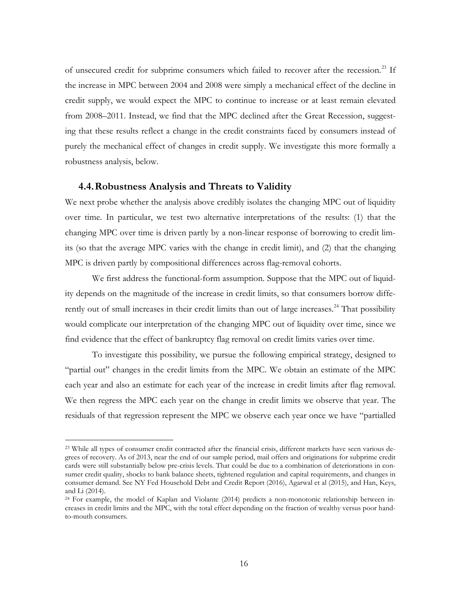of unsecured credit for subprime consumers which failed to recover after the recession.<sup>[23](#page-17-0)</sup> If the increase in MPC between 2004 and 2008 were simply a mechanical effect of the decline in credit supply, we would expect the MPC to continue to increase or at least remain elevated from 2008–2011. Instead, we find that the MPC declined after the Great Recession, suggesting that these results reflect a change in the credit constraints faced by consumers instead of purely the mechanical effect of changes in credit supply. We investigate this more formally a robustness analysis, below.

#### **4.4.Robustness Analysis and Threats to Validity**

 $\overline{a}$ 

We next probe whether the analysis above credibly isolates the changing MPC out of liquidity over time. In particular, we test two alternative interpretations of the results: (1) that the changing MPC over time is driven partly by a non-linear response of borrowing to credit limits (so that the average MPC varies with the change in credit limit), and (2) that the changing MPC is driven partly by compositional differences across flag-removal cohorts.

We first address the functional-form assumption. Suppose that the MPC out of liquidity depends on the magnitude of the increase in credit limits, so that consumers borrow diffe-rently out of small increases in their credit limits than out of large increases.<sup>[24](#page-18-0)</sup> That possibility would complicate our interpretation of the changing MPC out of liquidity over time, since we find evidence that the effect of bankruptcy flag removal on credit limits varies over time.

To investigate this possibility, we pursue the following empirical strategy, designed to "partial out" changes in the credit limits from the MPC. We obtain an estimate of the MPC each year and also an estimate for each year of the increase in credit limits after flag removal. We then regress the MPC each year on the change in credit limits we observe that year. The residuals of that regression represent the MPC we observe each year once we have "partialled

<span id="page-16-0"></span><sup>23</sup> While all types of consumer credit contracted after the financial crisis, different markets have seen various degrees of recovery. As of 2013, near the end of our sample period, mail offers and originations for subprime credit cards were still substantially below pre-crisis levels. That could be due to a combination of deteriorations in consumer credit quality, shocks to bank balance sheets, tightened regulation and capital requirements, and changes in consumer demand. See NY Fed Household Debt and Credit Report (2016), Agarwal et al (2015), and Han, Keys, and Li (2014).

<span id="page-16-1"></span><sup>24</sup> For example, the model of Kaplan and Violante (2014) predicts a non-monotonic relationship between increases in credit limits and the MPC, with the total effect depending on the fraction of wealthy versus poor handto-mouth consumers.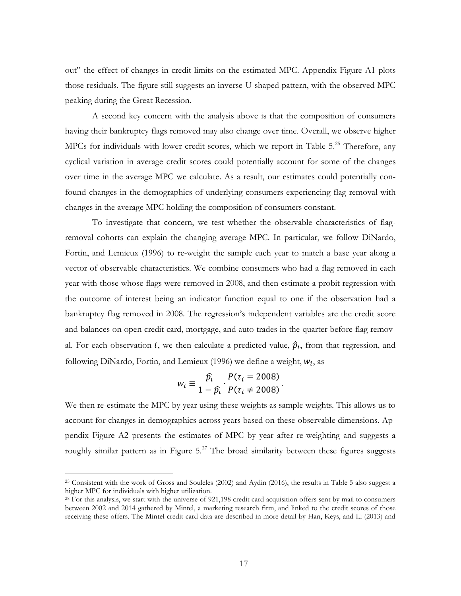out" the effect of changes in credit limits on the estimated MPC. Appendix Figure A1 plots those residuals. The figure still suggests an inverse-U-shaped pattern, with the observed MPC peaking during the Great Recession.

A second key concern with the analysis above is that the composition of consumers having their bankruptcy flags removed may also change over time. Overall, we observe higher MPCs for individuals with lower credit scores, which we report in Table 5.<sup>[25](#page-18-1)</sup> Therefore, any cyclical variation in average credit scores could potentially account for some of the changes over time in the average MPC we calculate. As a result, our estimates could potentially confound changes in the demographics of underlying consumers experiencing flag removal with changes in the average MPC holding the composition of consumers constant.

To investigate that concern, we test whether the observable characteristics of flagremoval cohorts can explain the changing average MPC. In particular, we follow DiNardo, Fortin, and Lemieux (1996) to re-weight the sample each year to match a base year along a vector of observable characteristics. We combine consumers who had a flag removed in each year with those whose flags were removed in 2008, and then estimate a probit regression with the outcome of interest being an indicator function equal to one if the observation had a bankruptcy flag removed in 2008. The regression's independent variables are the credit score and balances on open credit card, mortgage, and auto trades in the quarter before flag removal. For each observation *i*, we then calculate a predicted value,  $\hat{p}_i$ , from that regression, and following DiNardo, Fortin, and Lemieux (1996) we define a weight,  $w_i$ , as

$$
w_i \equiv \frac{\widehat{p}_i}{1 - \widehat{p}_i} \cdot \frac{P(\tau_i = 2008)}{P(\tau_i \neq 2008)}.
$$

We then re-estimate the MPC by year using these weights as sample weights. This allows us to account for changes in demographics across years based on these observable dimensions. Appendix Figure A2 presents the estimates of MPC by year after re-weighting and suggests a roughly similar pattern as in Figure  $5.^{27}$  $5.^{27}$  $5.^{27}$  The broad similarity between these figures suggests

<span id="page-17-0"></span><sup>25</sup> Consistent with the work of Gross and Souleles (2002) and Aydin (2016), the results in Table 5 also suggest a higher MPC for individuals with higher utilization.

<sup>&</sup>lt;sup>28</sup> For this analysis, we start with the universe of 921,198 credit card acquisition offers sent by mail to consumers between 2002 and 2014 gathered by Mintel, a marketing research firm, and linked to the credit scores of those receiving these offers. The Mintel credit card data are described in more detail by Han, Keys, and Li (2013) and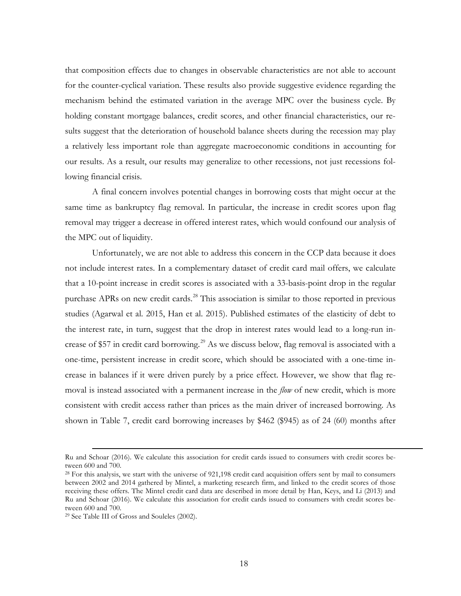that composition effects due to changes in observable characteristics are not able to account for the counter-cyclical variation. These results also provide suggestive evidence regarding the mechanism behind the estimated variation in the average MPC over the business cycle. By holding constant mortgage balances, credit scores, and other financial characteristics, our results suggest that the deterioration of household balance sheets during the recession may play a relatively less important role than aggregate macroeconomic conditions in accounting for our results. As a result, our results may generalize to other recessions, not just recessions following financial crisis.

A final concern involves potential changes in borrowing costs that might occur at the same time as bankruptcy flag removal. In particular, the increase in credit scores upon flag removal may trigger a decrease in offered interest rates, which would confound our analysis of the MPC out of liquidity.

Unfortunately, we are not able to address this concern in the CCP data because it does not include interest rates. In a complementary dataset of credit card mail offers, we calculate that a 10-point increase in credit scores is associated with a 33-basis-point drop in the regular purchase APRs on new credit cards.<sup>[28](#page-20-0)</sup> This association is similar to those reported in previous studies (Agarwal et al. 2015, Han et al. 2015). Published estimates of the elasticity of debt to the interest rate, in turn, suggest that the drop in interest rates would lead to a long-run in-crease of \$57 in credit card borrowing.<sup>[29](#page-20-1)</sup> As we discuss below, flag removal is associated with a one-time, persistent increase in credit score, which should be associated with a one-time increase in balances if it were driven purely by a price effect. However, we show that flag removal is instead associated with a permanent increase in the *flow* of new credit, which is more consistent with credit access rather than prices as the main driver of increased borrowing. As shown in Table 7, credit card borrowing increases by \$462 (\$945) as of 24 (60) months after

Ru and Schoar (2016). We calculate this association for credit cards issued to consumers with credit scores between 600 and 700.

<span id="page-18-1"></span><sup>28</sup> For this analysis, we start with the universe of 921,198 credit card acquisition offers sent by mail to consumers between 2002 and 2014 gathered by Mintel, a marketing research firm, and linked to the credit scores of those receiving these offers. The Mintel credit card data are described in more detail by Han, Keys, and Li (2013) and Ru and Schoar (2016). We calculate this association for credit cards issued to consumers with credit scores between 600 and 700.<br><sup>29</sup> See Table III of Gross and Souleles (2002).

<span id="page-18-0"></span>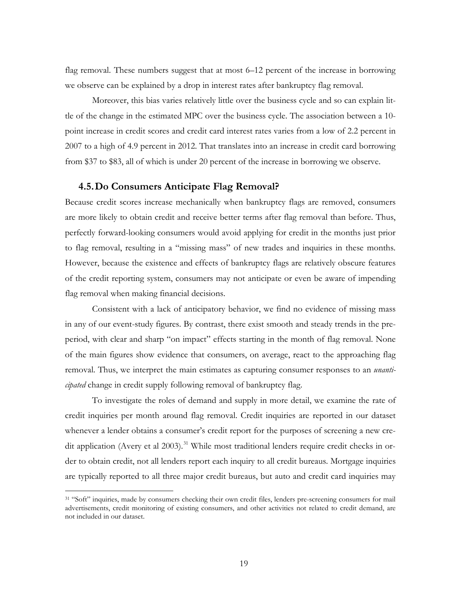<span id="page-19-0"></span>flag removal. These numbers suggest that at most 6–12 percent of the increase in borrowing we observe can be explained by a drop in interest rates after bankruptcy flag removal.

Moreover, this bias varies relatively little over the business cycle and so can explain little of the change in the estimated MPC over the business cycle. The association between a 10 point increase in credit scores and credit card interest rates varies from a low of 2.2 percent in 2007 to a high of 4.9 percent in 2012. That translates into an increase in credit card borrowing from \$37 to \$83, all of which is under 20 percent of the increase in borrowing we observe.

#### **4.5.Do Consumers Anticipate Flag Removal?**

Because credit scores increase mechanically when bankruptcy flags are removed, consumers are more likely to obtain credit and receive better terms after flag removal than before. Thus, perfectly forward-looking consumers would avoid applying for credit in the months just prior to flag removal, resulting in a "missing mass" of new trades and inquiries in these months. However, because the existence and effects of bankruptcy flags are relatively obscure features of the credit reporting system, consumers may not anticipate or even be aware of impending flag removal when making financial decisions.

Consistent with a lack of anticipatory behavior, we find no evidence of missing mass in any of our event-study figures. By contrast, there exist smooth and steady trends in the preperiod, with clear and sharp "on impact" effects starting in the month of flag removal. None of the main figures show evidence that consumers, on average, react to the approaching flag removal. Thus, we interpret the main estimates as capturing consumer responses to an *unanticipated* change in credit supply following removal of bankruptcy flag.

To investigate the roles of demand and supply in more detail, we examine the rate of credit inquiries per month around flag removal. Credit inquiries are reported in our dataset whenever a lender obtains a consumer's credit report for the purposes of screening a new cre-dit application (Avery et al 2003).<sup>[31](#page-22-0)</sup> While most traditional lenders require credit checks in order to obtain credit, not all lenders report each inquiry to all credit bureaus. Mortgage inquiries are typically reported to all three major credit bureaus, but auto and credit card inquiries may

<sup>&</sup>lt;sup>31</sup> "Soft" inquiries, made by consumers checking their own credit files, lenders pre-screening consumers for mail advertisements, credit monitoring of existing consumers, and other activities not related to credit demand, are not included in our dataset.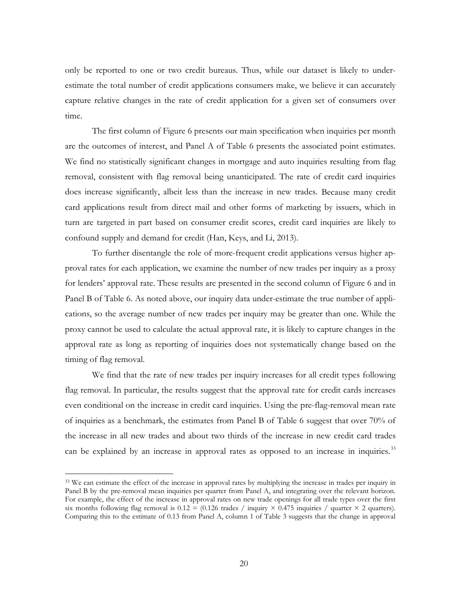only be reported to one or two credit bureaus. Thus, while our dataset is likely to underestimate the total number of credit applications consumers make, we believe it can accurately capture relative changes in the rate of credit application for a given set of consumers over time.

The first column of Figure 6 presents our main specification when inquiries per month are the outcomes of interest, and Panel A of Table 6 presents the associated point estimates. We find no statistically significant changes in mortgage and auto inquiries resulting from flag removal, consistent with flag removal being unanticipated. The rate of credit card inquiries does increase significantly, albeit less than the increase in new trades. Because many credit card applications result from direct mail and other forms of marketing by issuers, which in turn are targeted in part based on consumer credit scores, credit card inquiries are likely to confound supply and demand for credit (Han, Keys, and Li, 2013).

To further disentangle the role of more-frequent credit applications versus higher approval rates for each application, we examine the number of new trades per inquiry as a proxy for lenders' approval rate. These results are presented in the second column of Figure 6 and in Panel B of Table 6. As noted above, our inquiry data under-estimate the true number of applications, so the average number of new trades per inquiry may be greater than one. While the proxy cannot be used to calculate the actual approval rate, it is likely to capture changes in the approval rate as long as reporting of inquiries does not systematically change based on the timing of flag removal.

We find that the rate of new trades per inquiry increases for all credit types following flag removal. In particular, the results suggest that the approval rate for credit cards increases even conditional on the increase in credit card inquiries. Using the pre-flag-removal mean rate of inquiries as a benchmark, the estimates from Panel B of Table 6 suggest that over 70% of the increase in all new trades and about two thirds of the increase in new credit card trades can be explained by an increase in approval rates as opposed to an increase in inquiries.<sup>[33](#page-23-0)</sup>

<span id="page-20-1"></span><span id="page-20-0"></span><sup>&</sup>lt;sup>33</sup> We can estimate the effect of the increase in approval rates by multiplying the increase in trades per inquiry in Panel B by the pre-removal mean inquiries per quarter from Panel A, and integrating over the relevant horizon. For example, the effect of the increase in approval rates on new trade openings for all trade types over the first six months following flag removal is  $0.12 = (0.126 \text{ trades } / \text{ inquiry} \times 0.475 \text{ inquiries } / \text{ quarter} \times 2 \text{ quarters}).$ Comparing this to the estimate of 0.13 from Panel A, column 1 of Table 3 suggests that the change in approval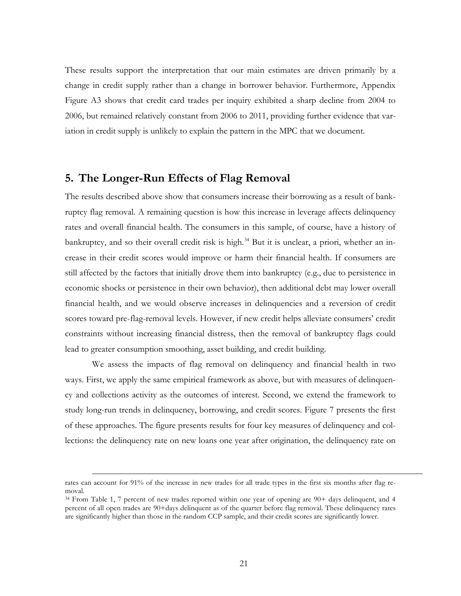These results support the interpretation that our main estimates are driven primarily by a change in credit supply rather than a change in borrower behavior. Furthermore, Appendix Figure A3 shows that credit card trades per inquiry exhibited a sharp decline from 2004 to 2006, but remained relatively constant from 2006 to 2011, providing further evidence that variation in credit supply is unlikely to explain the pattern in the MPC that we document.

# **5. The Longer-Run Effects of Flag Removal**

The results described above show that consumers increase their borrowing as a result of bankruptcy flag removal. A remaining question is how this increase in leverage affects delinquency rates and overall financial health. The consumers in this sample, of course, have a history of bankruptcy, and so their overall credit risk is high.<sup>[34](#page-23-1)</sup> But it is unclear, a priori, whether an increase in their credit scores would improve or harm their financial health. If consumers are still affected by the factors that initially drove them into bankruptcy (e.g., due to persistence in economic shocks or persistence in their own behavior), then additional debt may lower overall financial health, and we would observe increases in delinquencies and a reversion of credit scores toward pre-flag-removal levels. However, if new credit helps alleviate consumers' credit constraints without increasing financial distress, then the removal of bankruptcy flags could lead to greater consumption smoothing, asset building, and credit building.

We assess the impacts of flag removal on delinquency and financial health in two ways. First, we apply the same empirical framework as above, but with measures of delinquency and collections activity as the outcomes of interest. Second, we extend the framework to study long-run trends in delinquency, borrowing, and credit scores. Figure 7 presents the first of these approaches. The figure presents results for four key measures of delinquency and collections: the delinquency rate on new loans one year after origination, the delinquency rate on

rates can account for 91% of the increase in new trades for all trade types in the first six months after flag removal.<br><sup>34</sup> From Table 1, 7 percent of new trades reported within one year of opening are 90+ days delinquent, and 4

percent of all open trades are 90+days delinquent as of the quarter before flag removal. These delinquency rates are significantly higher than those in the random CCP sample, and their credit scores are significantly lower.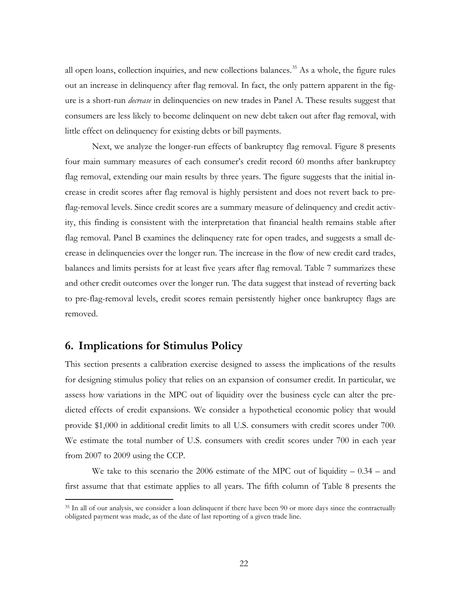all open loans, collection inquiries, and new collections balances.<sup>[35](#page-24-0)</sup> As a whole, the figure rules out an increase in delinquency after flag removal. In fact, the only pattern apparent in the figure is a short-run *decrease* in delinquencies on new trades in Panel A. These results suggest that consumers are less likely to become delinquent on new debt taken out after flag removal, with little effect on delinquency for existing debts or bill payments.

Next, we analyze the longer-run effects of bankruptcy flag removal. Figure 8 presents four main summary measures of each consumer's credit record 60 months after bankruptcy flag removal, extending our main results by three years. The figure suggests that the initial increase in credit scores after flag removal is highly persistent and does not revert back to preflag-removal levels. Since credit scores are a summary measure of delinquency and credit activity, this finding is consistent with the interpretation that financial health remains stable after flag removal. Panel B examines the delinquency rate for open trades, and suggests a small decrease in delinquencies over the longer run. The increase in the flow of new credit card trades, balances and limits persists for at least five years after flag removal. Table 7 summarizes these and other credit outcomes over the longer run. The data suggest that instead of reverting back to pre-flag-removal levels, credit scores remain persistently higher once bankruptcy flags are removed.

# **6. Implications for Stimulus Policy**

 $\overline{a}$ 

This section presents a calibration exercise designed to assess the implications of the results for designing stimulus policy that relies on an expansion of consumer credit. In particular, we assess how variations in the MPC out of liquidity over the business cycle can alter the predicted effects of credit expansions. We consider a hypothetical economic policy that would provide \$1,000 in additional credit limits to all U.S. consumers with credit scores under 700. We estimate the total number of U.S. consumers with credit scores under 700 in each year from 2007 to 2009 using the CCP.

We take to this scenario the 2006 estimate of the MPC out of liquidity  $-0.34$  – and first assume that that estimate applies to all years. The fifth column of Table 8 presents the

<span id="page-22-0"></span><sup>&</sup>lt;sup>35</sup> In all of our analysis, we consider a loan delinquent if there have been 90 or more days since the contractually obligated payment was made, as of the date of last reporting of a given trade line.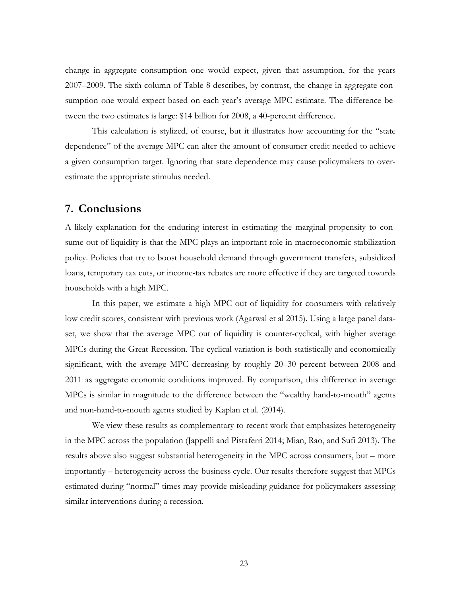change in aggregate consumption one would expect, given that assumption, for the years 2007–2009. The sixth column of Table 8 describes, by contrast, the change in aggregate consumption one would expect based on each year's average MPC estimate. The difference between the two estimates is large: \$14 billion for 2008, a 40-percent difference.

This calculation is stylized, of course, but it illustrates how accounting for the "state dependence" of the average MPC can alter the amount of consumer credit needed to achieve a given consumption target. Ignoring that state dependence may cause policymakers to overestimate the appropriate stimulus needed.

# **7. Conclusions**

A likely explanation for the enduring interest in estimating the marginal propensity to consume out of liquidity is that the MPC plays an important role in macroeconomic stabilization policy. Policies that try to boost household demand through government transfers, subsidized loans, temporary tax cuts, or income-tax rebates are more effective if they are targeted towards households with a high MPC.

In this paper, we estimate a high MPC out of liquidity for consumers with relatively low credit scores, consistent with previous work (Agarwal et al 2015). Using a large panel dataset, we show that the average MPC out of liquidity is counter-cyclical, with higher average MPCs during the Great Recession. The cyclical variation is both statistically and economically significant, with the average MPC decreasing by roughly 20–30 percent between 2008 and 2011 as aggregate economic conditions improved. By comparison, this difference in average MPCs is similar in magnitude to the difference between the "wealthy hand-to-mouth" agents and non-hand-to-mouth agents studied by Kaplan et al. (2014).

<span id="page-23-1"></span><span id="page-23-0"></span>We view these results as complementary to recent work that emphasizes heterogeneity in the MPC across the population (Jappelli and Pistaferri 2014; Mian, Rao, and Sufi 2013). The results above also suggest substantial heterogeneity in the MPC across consumers, but – more importantly – heterogeneity across the business cycle. Our results therefore suggest that MPCs estimated during "normal" times may provide misleading guidance for policymakers assessing similar interventions during a recession.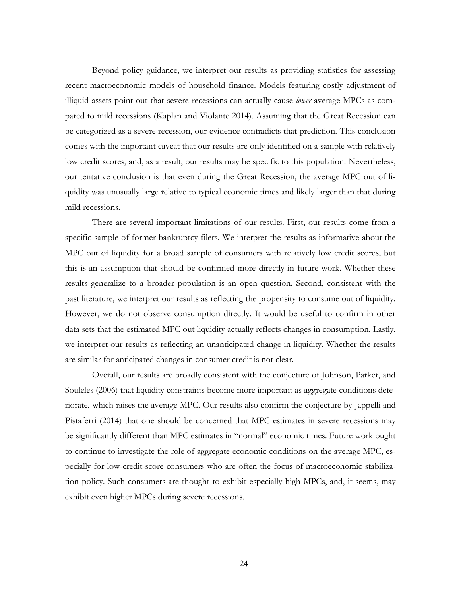Beyond policy guidance, we interpret our results as providing statistics for assessing recent macroeconomic models of household finance. Models featuring costly adjustment of illiquid assets point out that severe recessions can actually cause *lower* average MPCs as compared to mild recessions (Kaplan and Violante 2014). Assuming that the Great Recession can be categorized as a severe recession, our evidence contradicts that prediction. This conclusion comes with the important caveat that our results are only identified on a sample with relatively low credit scores, and, as a result, our results may be specific to this population. Nevertheless, our tentative conclusion is that even during the Great Recession, the average MPC out of liquidity was unusually large relative to typical economic times and likely larger than that during mild recessions.

There are several important limitations of our results. First, our results come from a specific sample of former bankruptcy filers. We interpret the results as informative about the MPC out of liquidity for a broad sample of consumers with relatively low credit scores, but this is an assumption that should be confirmed more directly in future work. Whether these results generalize to a broader population is an open question. Second, consistent with the past literature, we interpret our results as reflecting the propensity to consume out of liquidity. However, we do not observe consumption directly. It would be useful to confirm in other data sets that the estimated MPC out liquidity actually reflects changes in consumption. Lastly, we interpret our results as reflecting an unanticipated change in liquidity. Whether the results are similar for anticipated changes in consumer credit is not clear.

<span id="page-24-0"></span>Overall, our results are broadly consistent with the conjecture of Johnson, Parker, and Souleles (2006) that liquidity constraints become more important as aggregate conditions deteriorate, which raises the average MPC. Our results also confirm the conjecture by Jappelli and Pistaferri (2014) that one should be concerned that MPC estimates in severe recessions may be significantly different than MPC estimates in "normal" economic times. Future work ought to continue to investigate the role of aggregate economic conditions on the average MPC, especially for low-credit-score consumers who are often the focus of macroeconomic stabilization policy. Such consumers are thought to exhibit especially high MPCs, and, it seems, may exhibit even higher MPCs during severe recessions.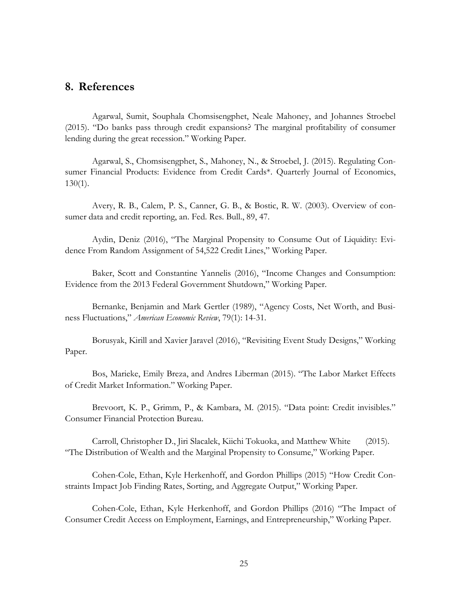## **8. References**

Agarwal, Sumit, Souphala Chomsisengphet, Neale Mahoney, and Johannes Stroebel (2015). "Do banks pass through credit expansions? The marginal profitability of consumer lending during the great recession." Working Paper.

Agarwal, S., Chomsisengphet, S., Mahoney, N., & Stroebel, J. (2015). Regulating Consumer Financial Products: Evidence from Credit Cards\*. Quarterly Journal of Economics, 130(1).

Avery, R. B., Calem, P. S., Canner, G. B., & Bostic, R. W. (2003). Overview of consumer data and credit reporting, an. Fed. Res. Bull., 89, 47.

Aydin, Deniz (2016), "The Marginal Propensity to Consume Out of Liquidity: Evidence From Random Assignment of 54,522 Credit Lines," Working Paper.

Baker, Scott and Constantine Yannelis (2016), "Income Changes and Consumption: Evidence from the 2013 Federal Government Shutdown," Working Paper.

Bernanke, Benjamin and Mark Gertler (1989), "Agency Costs, Net Worth, and Business Fluctuations," *American Economic Review*, 79(1): 14-31.

Borusyak, Kirill and Xavier Jaravel (2016), "Revisiting Event Study Designs," Working Paper.

Bos, Marieke, Emily Breza, and Andres Liberman (2015). "The Labor Market Effects of Credit Market Information." Working Paper.

Brevoort, K. P., Grimm, P., & Kambara, M. (2015). "Data point: Credit invisibles." Consumer Financial Protection Bureau.

Carroll, Christopher D., Jiri Slacalek, Kiichi Tokuoka, and Matthew White (2015). "The Distribution of Wealth and the Marginal Propensity to Consume," Working Paper.

Cohen-Cole, Ethan, Kyle Herkenhoff, and Gordon Phillips (2015) "How Credit Constraints Impact Job Finding Rates, Sorting, and Aggregate Output," Working Paper.

Cohen-Cole, Ethan, Kyle Herkenhoff, and Gordon Phillips (2016) "The Impact of Consumer Credit Access on Employment, Earnings, and Entrepreneurship," Working Paper.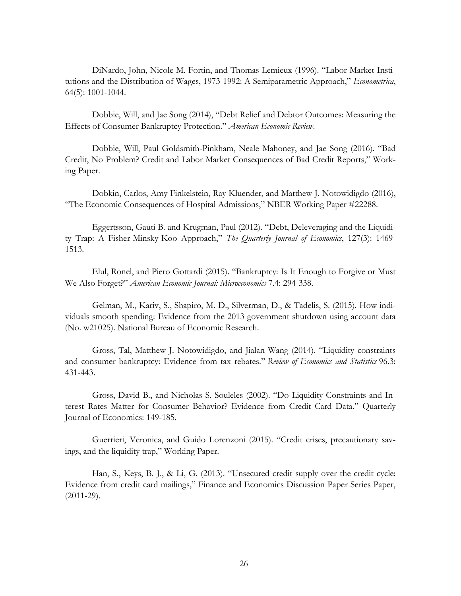DiNardo, John, Nicole M. Fortin, and Thomas Lemieux (1996). "Labor Market Institutions and the Distribution of Wages, 1973-1992: A Semiparametric Approach," *Econometrica*, 64(5): 1001-1044.

Dobbie, Will, and Jae Song (2014), "Debt Relief and Debtor Outcomes: Measuring the Effects of Consumer Bankruptcy Protection." *American Economic Review*.

Dobbie, Will, Paul Goldsmith-Pinkham, Neale Mahoney, and Jae Song (2016). "Bad Credit, No Problem? Credit and Labor Market Consequences of Bad Credit Reports," Working Paper.

Dobkin, Carlos, Amy Finkelstein, Ray Kluender, and Matthew J. Notowidigdo (2016), "The Economic Consequences of Hospital Admissions," NBER Working Paper #22288.

Eggertsson, Gauti B. and Krugman, Paul (2012). "Debt, Deleveraging and the Liquidity Trap: A Fisher-Minsky-Koo Approach," *The Quarterly Journal of Economics*, 127(3): 1469- 1513.

Elul, Ronel, and Piero Gottardi (2015). "Bankruptcy: Is It Enough to Forgive or Must We Also Forget?" *American Economic Journal: Microeconomics* 7.4: 294-338.

Gelman, M., Kariv, S., Shapiro, M. D., Silverman, D., & Tadelis, S. (2015). How individuals smooth spending: Evidence from the 2013 government shutdown using account data (No. w21025). National Bureau of Economic Research.

Gross, Tal, Matthew J. Notowidigdo, and Jialan Wang (2014). "Liquidity constraints and consumer bankruptcy: Evidence from tax rebates." *Review of Economics and Statistics* 96.3: 431-443.

Gross, David B., and Nicholas S. Souleles (2002). "Do Liquidity Constraints and Interest Rates Matter for Consumer Behavior? Evidence from Credit Card Data." Quarterly Journal of Economics: 149-185.

Guerrieri, Veronica, and Guido Lorenzoni (2015). "Credit crises, precautionary savings, and the liquidity trap," Working Paper.

Han, S., Keys, B. J., & Li, G. (2013). "Unsecured credit supply over the credit cycle: Evidence from credit card mailings," Finance and Economics Discussion Paper Series Paper, (2011-29).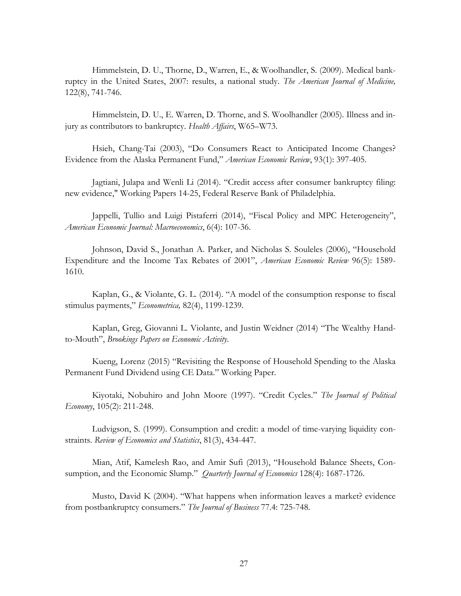Himmelstein, D. U., Thorne, D., Warren, E., & Woolhandler, S. (2009). Medical bankruptcy in the United States, 2007: results, a national study. *The American Journal of Medicine,* 122(8), 741-746.

Himmelstein, D. U., E. Warren, D. Thorne, and S. Woolhandler (2005). Illness and injury as contributors to bankruptcy. *Health Affairs*, W65–W73.

Hsieh, Chang-Tai (2003), "Do Consumers React to Anticipated Income Changes? Evidence from the Alaska Permanent Fund," *American Economic Review*, 93(1): 397-405.

Jagtiani, Julapa and Wenli Li (2014). "Credit access after consumer bankruptcy filing: new evidence," Working Papers 14-25, Federal Reserve Bank of Philadelphia.

Jappelli, Tullio and Luigi Pistaferri (2014), "Fiscal Policy and MPC Heterogeneity", *American Economic Journal: Macroeconomics*, 6(4): 107-36.

Johnson, David S., Jonathan A. Parker, and Nicholas S. Souleles (2006), "Household Expenditure and the Income Tax Rebates of 2001", *American Economic Review* 96(5): 1589- 1610.

Kaplan, G., & Violante, G. L. (2014). "A model of the consumption response to fiscal stimulus payments," *Econometrica,* 82(4), 1199-1239.

Kaplan, Greg, Giovanni L. Violante, and Justin Weidner (2014) "The Wealthy Handto-Mouth", *Brookings Papers on Economic Activity*.

Kueng, Lorenz (2015) "Revisiting the Response of Household Spending to the Alaska Permanent Fund Dividend using CE Data." Working Paper.

Kiyotaki, Nobuhiro and John Moore (1997). "Credit Cycles." *The Journal of Political Economy*, 105(2): 211-248.

Ludvigson, S. (1999). Consumption and credit: a model of time-varying liquidity constraints. *Review of Economics and Statistics*, 81(3), 434-447.

Mian, Atif, Kamelesh Rao, and Amir Sufi (2013), "Household Balance Sheets, Consumption, and the Economic Slump." *Quarterly Journal of Economics* 128(4): 1687-1726.

Musto, David K (2004). "What happens when information leaves a market? evidence from postbankruptcy consumers." *The Journal of Business* 77.4: 725-748.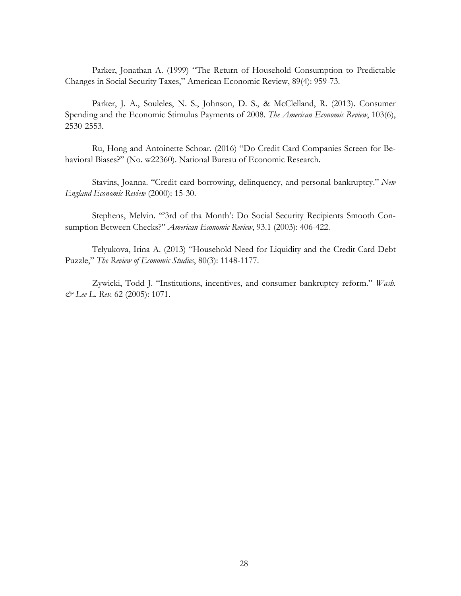Parker, Jonathan A. (1999) "The Return of Household Consumption to Predictable Changes in Social Security Taxes," American Economic Review, 89(4): 959-73.

Parker, J. A., Souleles, N. S., Johnson, D. S., & McClelland, R. (2013). Consumer Spending and the Economic Stimulus Payments of 2008. *The American Economic Review*, 103(6), 2530-2553.

Ru, Hong and Antoinette Schoar. (2016) "Do Credit Card Companies Screen for Behavioral Biases?" (No. w22360). National Bureau of Economic Research.

Stavins, Joanna. "Credit card borrowing, delinquency, and personal bankruptcy." *New England Economic Review* (2000): 15-30.

Stephens, Melvin. "'3rd of tha Month': Do Social Security Recipients Smooth Consumption Between Checks?" *American Economic Review*, 93.1 (2003): 406-422.

Telyukova, Irina A. (2013) "Household Need for Liquidity and the Credit Card Debt Puzzle," *The Review of Economic Studies*, 80(3): 1148-1177.

Zywicki, Todd J. "Institutions, incentives, and consumer bankruptcy reform." *Wash. & Lee L. Rev.* 62 (2005): 1071.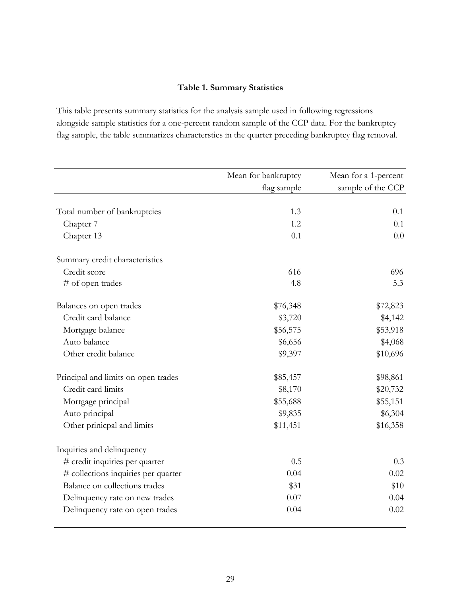# **Table 1. Summary Statistics**

This table presents summary statistics for the analysis sample used in following regressions alongside sample statistics for a one-percent random sample of the CCP data. For the bankruptcy flag sample, the table summarizes characterstics in the quarter preceding bankruptcy flag removal.

|                                     | Mean for bankruptcy | Mean for a 1-percent |
|-------------------------------------|---------------------|----------------------|
|                                     | flag sample         | sample of the CCP    |
|                                     |                     |                      |
| Total number of bankruptcies        | 1.3                 | 0.1                  |
| Chapter 7                           | 1.2                 | 0.1                  |
| Chapter 13                          | 0.1                 | 0.0                  |
| Summary credit characteristics      |                     |                      |
| Credit score                        | 616                 | 696                  |
| # of open trades                    | 4.8                 | 5.3                  |
| Balances on open trades             | \$76,348            | \$72,823             |
| Credit card balance                 | \$3,720             | \$4,142              |
| Mortgage balance                    | \$56,575            | \$53,918             |
| Auto balance                        | \$6,656             | \$4,068              |
| Other credit balance                | \$9,397             | \$10,696             |
| Principal and limits on open trades | \$85,457            | \$98,861             |
| Credit card limits                  | \$8,170             | \$20,732             |
| Mortgage principal                  | \$55,688            | \$55,151             |
| Auto principal                      | \$9,835             | \$6,304              |
| Other prinicpal and limits          | \$11,451            | \$16,358             |
| Inquiries and delinquency           |                     |                      |
| # credit inquiries per quarter      | 0.5                 | 0.3                  |
| # collections inquiries per quarter | 0.04                | 0.02                 |
| Balance on collections trades       | \$31                | \$10                 |
| Delinquency rate on new trades      | 0.07                | 0.04                 |
| Delinquency rate on open trades     | 0.04                | 0.02                 |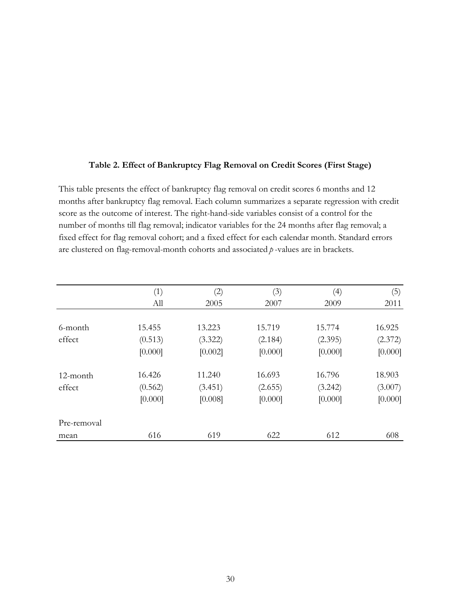#### **Table 2. Effect of Bankruptcy Flag Removal on Credit Scores (First Stage)**

This table presents the effect of bankruptcy flag removal on credit scores 6 months and 12 months after bankruptcy flag removal. Each column summarizes a separate regression with credit score as the outcome of interest. The right-hand-side variables consist of a control for the number of months till flag removal; indicator variables for the 24 months after flag removal; a fixed effect for flag removal cohort; and a fixed effect for each calendar month. Standard errors are clustered on flag-removal-month cohorts and associated *p* -values are in brackets.

|             | (1)     | (2)     | (3)     | (4)     | (5)     |
|-------------|---------|---------|---------|---------|---------|
|             | All     | 2005    | 2007    | 2009    | 2011    |
|             |         |         |         |         |         |
| 6-month     | 15.455  | 13.223  | 15.719  | 15.774  | 16.925  |
| effect      | (0.513) | (3.322) | (2.184) | (2.395) | (2.372) |
|             | [0.000] | [0.002] | [0.000] | [0.000] | [0.000] |
| 12-month    | 16.426  | 11.240  | 16.693  | 16.796  | 18.903  |
| effect      | (0.562) | (3.451) | (2.655) | (3.242) | (3.007) |
|             | [0.000] | [0.008] | [0.000] | [0.000] | [0.000] |
| Pre-removal |         |         |         |         |         |
| mean        | 616     | 619     | 622     | 612     | 608     |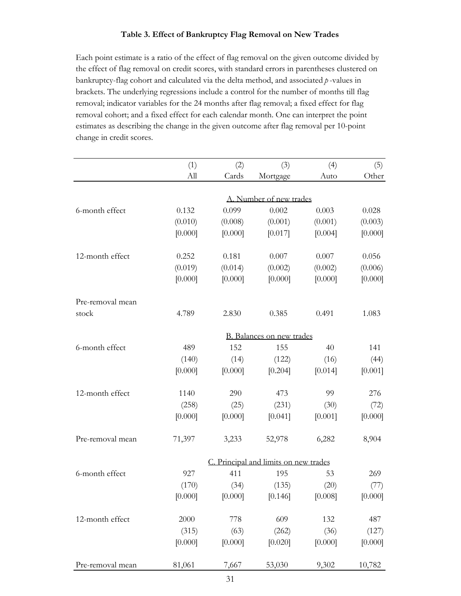### **Table 3. Effect of Bankruptcy Flag Removal on New Trades**

Each point estimate is a ratio of the effect of flag removal on the given outcome divided by the effect of flag removal on credit scores, with standard errors in parentheses clustered on bankruptcy-flag cohort and calculated via the delta method, and associated *p* -values in brackets. The underlying regressions include a control for the number of months till flag removal; indicator variables for the 24 months after flag removal; a fixed effect for flag removal cohort; and a fixed effect for each calendar month. One can interpret the point estimates as describing the change in the given outcome after flag removal per 10-point change in credit scores.

|                  | (1)                     | (2)     | (3)                                   | (4)     | (5)     |  |  |  |  |
|------------------|-------------------------|---------|---------------------------------------|---------|---------|--|--|--|--|
|                  | All                     | Cards   | Mortgage                              | Auto    | Other   |  |  |  |  |
|                  |                         |         |                                       |         |         |  |  |  |  |
|                  | A. Number of new trades |         |                                       |         |         |  |  |  |  |
| 6-month effect   | 0.132                   | 0.099   | 0.002                                 | 0.003   | 0.028   |  |  |  |  |
|                  | (0.010)                 | (0.008) | (0.001)                               | (0.001) | (0.003) |  |  |  |  |
|                  | [0.000]                 | [0.000] | [0.017]                               | [0.004] | [0.000] |  |  |  |  |
| 12-month effect  | 0.252                   | 0.181   | 0.007                                 | 0.007   | 0.056   |  |  |  |  |
|                  | (0.019)                 | (0.014) | (0.002)                               | (0.002) | (0.006) |  |  |  |  |
|                  | [0.000]                 | [0.000] | [0.000]                               | [0.000] | [0.000] |  |  |  |  |
| Pre-removal mean |                         |         |                                       |         |         |  |  |  |  |
| stock            | 4.789                   | 2.830   | 0.385                                 | 0.491   | 1.083   |  |  |  |  |
|                  |                         |         | B. Balances on new trades             |         |         |  |  |  |  |
| 6-month effect   | 489                     | 152     | 155                                   | 40      | 141     |  |  |  |  |
|                  | (140)                   | (14)    | (122)                                 | (16)    | (44)    |  |  |  |  |
|                  | [0.000]                 | [0.000] | [0.204]                               | [0.014] | [0.001] |  |  |  |  |
| 12-month effect  | 1140                    | 290     | 473                                   | 99      | 276     |  |  |  |  |
|                  | (258)                   | (25)    | (231)                                 | (30)    | (72)    |  |  |  |  |
|                  | [0.000]                 | [0.000] | [0.041]                               | [0.001] | [0.000] |  |  |  |  |
| Pre-removal mean | 71,397                  | 3,233   | 52,978                                | 6,282   | 8,904   |  |  |  |  |
|                  |                         |         | C. Principal and limits on new trades |         |         |  |  |  |  |
| 6-month effect   | 927                     | 411     | 195                                   | 53      | 269     |  |  |  |  |
|                  | (170)                   | (34)    | (135)                                 | (20)    | (77)    |  |  |  |  |
|                  | [0.000]                 | [0.000] | [0.146]                               | [0.008] | [0.000] |  |  |  |  |
| 12-month effect  | 2000                    | 778     | 609                                   | 132     | 487     |  |  |  |  |
|                  | (315)                   | (63)    | (262)                                 | (36)    | (127)   |  |  |  |  |
|                  | [0.000]                 | [0.000] | [0.020]                               | [0.000] | [0.000] |  |  |  |  |
| Pre-removal mean | 81,061                  | 7,667   | 53,030                                | 9,302   | 10,782  |  |  |  |  |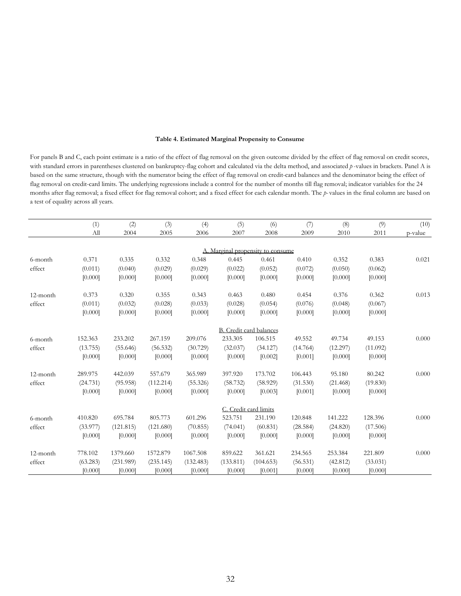#### **Table 4. Estimated Marginal Propensity to Consume**

For panels B and C, each point estimate is a ratio of the effect of flag removal on the given outcome divided by the effect of flag removal on credit scores, with standard errors in parentheses clustered on bankruptcy-flag cohort and calculated via the delta method, and associated  $p$ -values in brackets. Panel A is based on the same structure, though with the numerator being the effect of flag removal on credit-card balances and the denominator being the effect of flag removal on credit-card limits. The underlying regressions include a control for the number of months till flag removal; indicator variables for the 24 months after flag removal; a fixed effect for flag removal cohort; and a fixed effect for each calendar month. The *p-* values in the final column are based on a test of equality across all years.

|          | (1)      | (2)       | (3)       | (4)       | (5)                               | (6)       | (7)      | (8)      | (9)      | (10)    |
|----------|----------|-----------|-----------|-----------|-----------------------------------|-----------|----------|----------|----------|---------|
|          | All      | 2004      | 2005      | 2006      | 2007                              | 2008      | 2009     | 2010     | 2011     | p-value |
|          |          |           |           |           |                                   |           |          |          |          |         |
|          |          |           |           |           | A. Marginal propensity to consume |           |          |          |          |         |
| 6-month  | 0.371    | 0.335     | 0.332     | 0.348     | 0.445                             | 0.461     | 0.410    | 0.352    | 0.383    | 0.021   |
| effect   | (0.011)  | (0.040)   | (0.029)   | (0.029)   | (0.022)                           | (0.052)   | (0.072)  | (0.050)  | (0.062)  |         |
|          | [0.000]  | [0.000]   | [0.000]   | [0.000]   | [0.000]                           | [0.000]   | [0.000]  | [0.000]  | [0.000]  |         |
| 12-month | 0.373    | 0.320     | 0.355     | 0.343     | 0.463                             | 0.480     | 0.454    | 0.376    | 0.362    | 0.013   |
| effect   | (0.011)  | (0.032)   | (0.028)   | (0.033)   | (0.028)                           | (0.054)   | (0.076)  | (0.048)  | (0.067)  |         |
|          | [0.000]  | [0.000]   | [0.000]   | [0.000]   | [0.000]                           | [0.000]   | [0.000]  | [0.000]  | [0.000]  |         |
|          |          |           |           |           | B. Credit card balances           |           |          |          |          |         |
| 6-month  | 152.363  | 233.202   | 267.159   | 209.076   | 233.305                           | 106.515   | 49.552   | 49.734   | 49.153   | 0.000   |
| effect   | (13.755) | (55.646)  | (56.532)  | (30.729)  | (32.037)                          | (34.127)  | (14.764) | (12.297) | (11.092) |         |
|          | [0.000]  | [0.000]   | [0.000]   | [0.000]   | [0.000]                           | [0.002]   | [0.001]  | [0.000]  | [0.000]  |         |
| 12-month | 289.975  | 442.039   | 557.679   | 365.989   | 397.920                           | 173.702   | 106.443  | 95.180   | 80.242   | 0.000   |
| effect   | (24.731) | (95.958)  | (112.214) | (55.326)  | (58.732)                          | (58.929)  | (31.530) | (21.468) | (19.830) |         |
|          | [0.000]  | [0.000]   | [0.000]   | [0.000]   | [0.000]                           | [0.003]   | [0.001]  | [0.000]  | [0.000]  |         |
|          |          |           |           |           | C. Credit card limits             |           |          |          |          |         |
| 6-month  | 410.820  | 695.784   | 805.773   | 601.296   | 523.751                           | 231.190   | 120.848  | 141.222  | 128.396  | 0.000   |
| effect   | (33.977) | (121.815) | (121.680) | (70.855)  | (74.041)                          | (60.831)  | (28.584) | (24.820) | (17.506) |         |
|          | [0.000]  | [0.000]   | [0.000]   | [0.000]   | [0.000]                           | [0.000]   | [0.000]  | [0.000]  | [0.000]  |         |
| 12-month | 778.102  | 1379.660  | 1572.879  | 1067.508  | 859.622                           | 361.621   | 234.565  | 253.384  | 221.809  | 0.000   |
| effect   | (63.283) | (231.989) | (235.145) | (132.483) | (133.811)                         | (104.653) | (56.531) | (42.812) | (33.031) |         |
|          | [0.000]  | [0.000]   | [0.000]   | [0.000]   | [0.000]                           | [0.001]   | [0.000]  | [0.000]  | [0.000]  |         |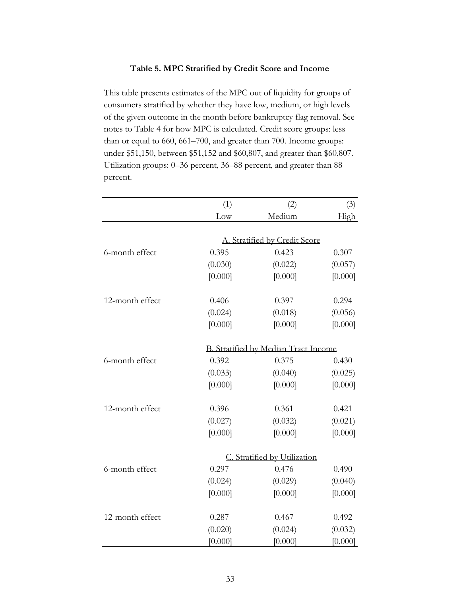#### **Table 5. MPC Stratified by Credit Score and Income**

This table presents estimates of the MPC out of liquidity for groups of consumers stratified by whether they have low, medium, or high levels of the given outcome in the month before bankruptcy flag removal. See notes to Table 4 for how MPC is calculated. Credit score groups: less than or equal to 660, 661–700, and greater than 700. Income groups: under \$51,150, between \$51,152 and \$60,807, and greater than \$60,807. Utilization groups: 0–36 percent, 36–88 percent, and greater than 88 percent.

|                 | (1)                | (2)                                   | (3)                |
|-----------------|--------------------|---------------------------------------|--------------------|
|                 | Low                | Medium                                | High               |
|                 |                    |                                       |                    |
|                 |                    | A. Stratified by Credit Score         |                    |
| 6-month effect  | 0.395              | 0.423                                 | 0.307              |
|                 | (0.030)            | (0.022)                               | (0.057)            |
|                 | [0.000]            | [0.000]                               | [0.000]            |
|                 |                    |                                       |                    |
| 12-month effect | 0.406              | 0.397                                 | 0.294              |
|                 | (0.024)            | (0.018)                               | (0.056)            |
|                 | [0.000]            | [0.000]                               | [0.000]            |
|                 |                    | B. Stratified by Median Tract Income  |                    |
| 6-month effect  | 0.392              | 0.375                                 | 0.430              |
|                 | (0.033)            | (0.040)                               | (0.025)            |
|                 | [0.000]            | [0.000]                               | [0.000]            |
| 12-month effect | 0.396              | 0.361                                 | 0.421              |
|                 | (0.027)            | (0.032)                               | (0.021)            |
|                 | [0.000]            | [0.000]                               | [0.000]            |
|                 |                    |                                       |                    |
| 6-month effect  | 0.297              | C. Stratified by Utilization<br>0.476 |                    |
|                 |                    |                                       | 0.490              |
|                 | (0.024)<br>[0.000] | (0.029)<br>[0.000]                    | (0.040)<br>[0.000] |
|                 |                    |                                       |                    |
| 12-month effect | 0.287              | 0.467                                 | 0.492              |
|                 | (0.020)            | (0.024)                               | (0.032)            |
|                 | [0.000]            | [0.000]                               | [0.000]            |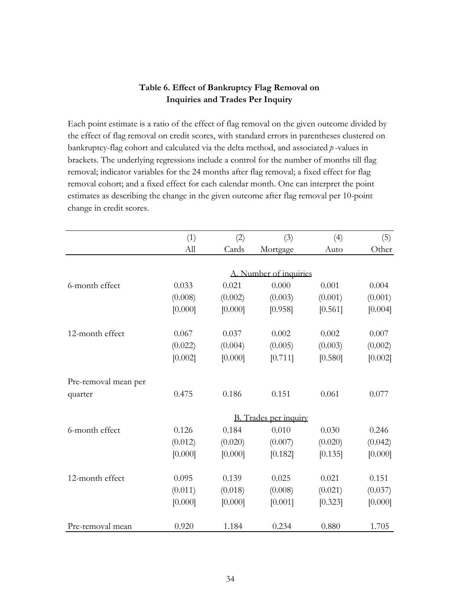## **Table 6. Effect of Bankruptcy Flag Removal on Inquiries and Trades Per Inquiry**

Each point estimate is a ratio of the effect of flag removal on the given outcome divided by the effect of flag removal on credit scores, with standard errors in parentheses clustered on bankruptcy-flag cohort and calculated via the delta method, and associated *p* -values in brackets. The underlying regressions include a control for the number of months till flag removal; indicator variables for the 24 months after flag removal; a fixed effect for flag removal cohort; and a fixed effect for each calendar month. One can interpret the point estimates as describing the change in the given outcome after flag removal per 10-point change in credit scores.

|                      | (1)     | (2)     | (3)                          | (4)     | (5)     |
|----------------------|---------|---------|------------------------------|---------|---------|
|                      | All     | Cards   |                              | Auto    | Other   |
|                      |         |         | Mortgage                     |         |         |
|                      |         |         |                              |         |         |
|                      |         |         | A. Number of inquiries       |         |         |
| 6-month effect       | 0.033   | 0.021   | 0.000                        | 0.001   | 0.004   |
|                      | (0.008) | (0.002) | (0.003)                      | (0.001) | (0.001) |
|                      | [0.000] | [0.000] | [0.958]                      | [0.561] | [0.004] |
| 12-month effect      | 0.067   | 0.037   | 0.002                        | 0.002   | 0.007   |
|                      | (0.022) | (0.004) | (0.005)                      | (0.003) | (0.002) |
|                      | [0.002] | [0.000] | [0.711]                      | [0.580] | [0.002] |
| Pre-removal mean per |         |         |                              |         |         |
| quarter              | 0.475   | 0.186   | 0.151                        | 0.061   | 0.077   |
|                      |         |         | <b>B.</b> Trades per inquiry |         |         |
| 6-month effect       | 0.126   | 0.184   | 0.010                        | 0.030   | 0.246   |
|                      | (0.012) | (0.020) | (0.007)                      | (0.020) | (0.042) |
|                      | [0.000] | [0.000] | [0.182]                      | [0.135] | [0.000] |
| 12-month effect      | 0.095   | 0.139   | 0.025                        | 0.021   | 0.151   |
|                      | (0.011) | (0.018) | (0.008)                      | (0.021) | (0.037) |
|                      | [0.000] | [0.000] | [0.001]                      | [0.323] | [0.000] |
| Pre-removal mean     | 0.920   | 1.184   | 0.234                        | 0.880   | 1.705   |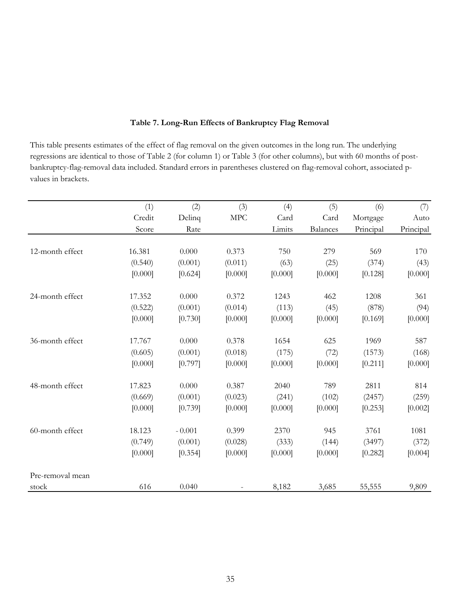| values in brackets. |         |          |            |         |                 |           |           |
|---------------------|---------|----------|------------|---------|-----------------|-----------|-----------|
|                     | (1)     | (2)      | (3)        | (4)     | (5)             | (6)       | (7)       |
|                     | Credit  | Delinq   | <b>MPC</b> | Card    | Card            | Mortgage  | Auto      |
|                     | Score   | Rate     |            | Limits  | <b>Balances</b> | Principal | Principal |
| 12-month effect     | 16.381  | 0.000    | 0.373      | 750     | 279             | 569       | 170       |
|                     | (0.540) | (0.001)  | (0.011)    | (63)    | (25)            | (374)     | (43)      |
|                     | [0.000] | [0.624]  | [0.000]    | [0.000] | [0.000]         | [0.128]   | [0.000]   |
| 24-month effect     | 17.352  | 0.000    | 0.372      | 1243    | 462             | 1208      | 361       |
|                     | (0.522) | (0.001)  | (0.014)    | (113)   | (45)            | (878)     | (94)      |
|                     | [0.000] | [0.730]  | [0.000]    | [0.000] | [0.000]         | [0.169]   | [0.000]   |
| 36-month effect     | 17.767  | 0.000    | 0.378      | 1654    | 625             | 1969      | 587       |
|                     | (0.605) | (0.001)  | (0.018)    | (175)   | (72)            | (1573)    | (168)     |
|                     | [0.000] | [0.797]  | [0.000]    | [0.000] | [0.000]         | [0.211]   | [0.000]   |
| 48-month effect     | 17.823  | 0.000    | 0.387      | 2040    | 789             | 2811      | 814       |
|                     | (0.669) | (0.001)  | (0.023)    | (241)   | (102)           | (2457)    | (259)     |
|                     | [0.000] | [0.739]  | [0.000]    | [0.000] | [0.000]         | [0.253]   | [0.002]   |
| 60-month effect     | 18.123  | $-0.001$ | 0.399      | 2370    | 945             | 3761      | 1081      |
|                     | (0.749) | (0.001)  | (0.028)    | (333)   | (144)           | (3497)    | (372)     |
|                     | [0.000] | [0.354]  | [0.000]    | [0.000] | [0.000]         | [0.282]   | [0.004]   |
| Pre-removal mean    |         |          |            |         |                 |           |           |
| stock               | 616     | 0.040    |            | 8,182   | 3,685           | 55,555    | 9,809     |

### **Table 7. Long-Run Effects of Bankruptcy Flag Removal**

regressions are identical to those of Table 2 (for column 1) or Table 3 (for other columns), but with 60 months of postbankruptcy-flag-removal data included. Standard errors in parentheses clustered on flag-removal cohort, associated p-

This table presents estimates of the effect of flag removal on the given outcomes in the long run. The underlying

35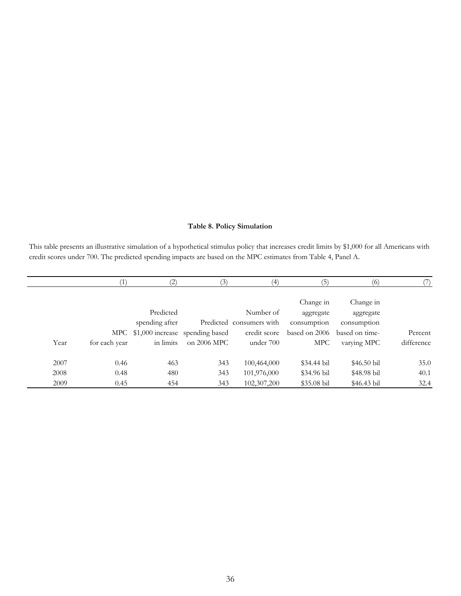#### **Table 8. Policy Simulation**

This table presents an illustrative simulation of a hypothetical stimulus policy that increases credit limits by \$1,000 for all Americans with credit scores under 700. The predicted spending impacts are based on the MPC estimates from Table 4, Panel A.

|      |               | 2)                                  | (3)         | 4)                       | (5)           | (6)            |            |
|------|---------------|-------------------------------------|-------------|--------------------------|---------------|----------------|------------|
|      |               |                                     |             |                          |               |                |            |
|      |               |                                     |             |                          | Change in     | Change in      |            |
|      |               | Predicted                           |             | Number of                | aggregate     | aggregate      |            |
|      |               | spending after                      |             | Predicted consumers with | consumption   | consumption    |            |
|      |               | MPC \$1,000 increase spending based |             | credit score             | based on 2006 | based on time- | Percent    |
| Year | for each year | in limits                           | on 2006 MPC | under 700                | <b>MPC</b>    | varying MPC    | difference |
| 2007 | 0.46          | 463                                 | 343         | 100,464,000              | $$34.44$ bil  | $$46.50$ bil   | 35.0       |
| 2008 |               |                                     |             |                          |               |                |            |
|      | 0.48          | 480                                 | 343         | 101,976,000              | \$34.96 bil   | \$48.98 bil    | 40.1       |
| 2009 | 0.45          | 454                                 | 343         | 102,307,200              | $$35.08$ bil  | \$46.43 bil    | 32.4       |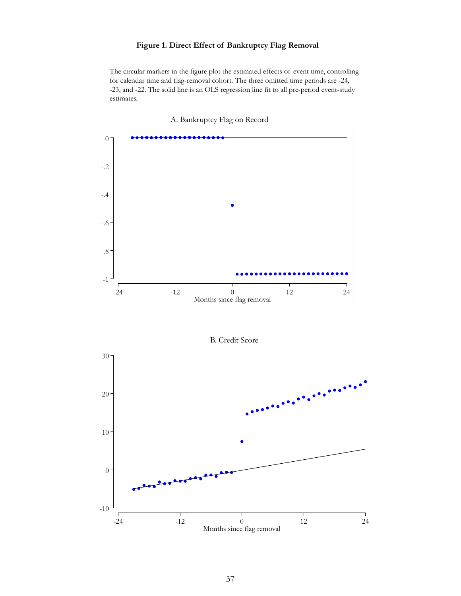### **Figure 1. Direct Effect of Bankruptcy Flag Removal**

The circular markers in the figure plot the estimated effects of event time, controlling for calendar time and flag-removal cohort. The three omitted time periods are -24, -23, and -22. The solid line is an OLS regression line fit to all pre-period event-study estimates.



A. Bankruptcy Flag on Record

B. Credit Score

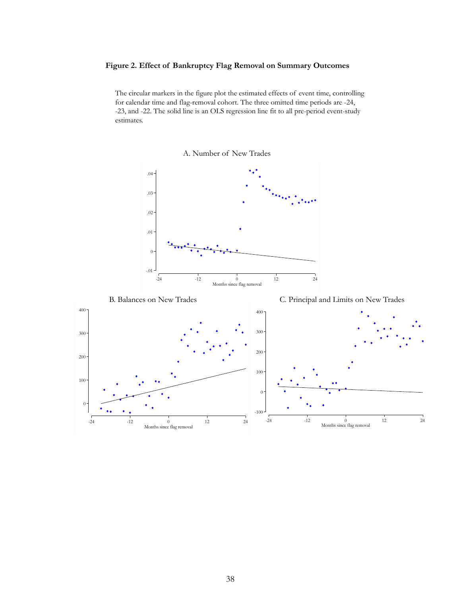#### **Figure 2. Effect of Bankruptcy Flag Removal on Summary Outcomes**

The circular markers in the figure plot the estimated effects of event time, controlling for calendar time and flag-removal cohort. The three omitted time periods are -24, -23, and -22. The solid line is an OLS regression line fit to all pre-period event-study estimates.



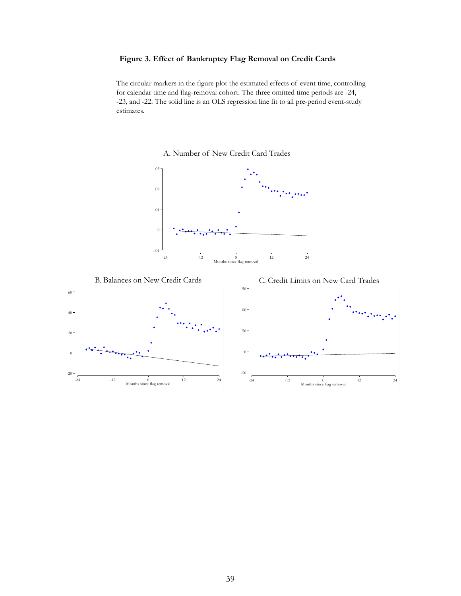#### **Figure 3. Effect of Bankruptcy Flag Removal on Credit Cards**

The circular markers in the figure plot the estimated effects of event time, controlling for calendar time and flag-removal cohort. The three omitted time periods are -24, -23, and -22. The solid line is an OLS regression line fit to all pre-period event-study estimates.

### A. Number of New Credit Card Trades







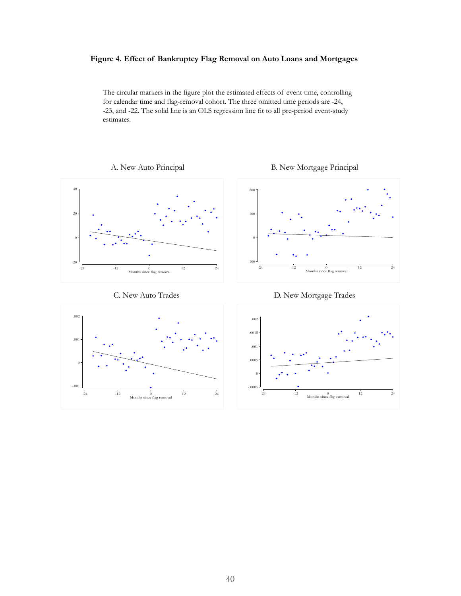#### **Figure 4. Effect of Bankruptcy Flag Removal on Auto Loans and Mortgages**

The circular markers in the figure plot the estimated effects of event time, controlling for calendar time and flag-removal cohort. The three omitted time periods are -24, -23, and -22. The solid line is an OLS regression line fit to all pre-period event-study estimates.





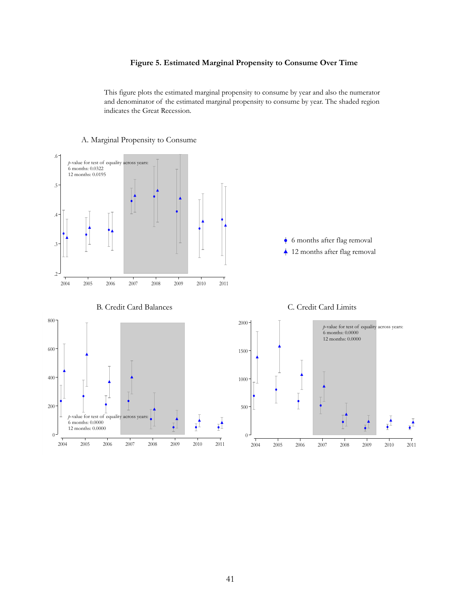#### **Figure 5. Estimated Marginal Propensity to Consume Over Time**

This figure plots the estimated marginal propensity to consume by year and also the numerator and denominator of the estimated marginal propensity to consume by year. The shaded region indicates the Great Recession.



#### A. Marginal Propensity to Consume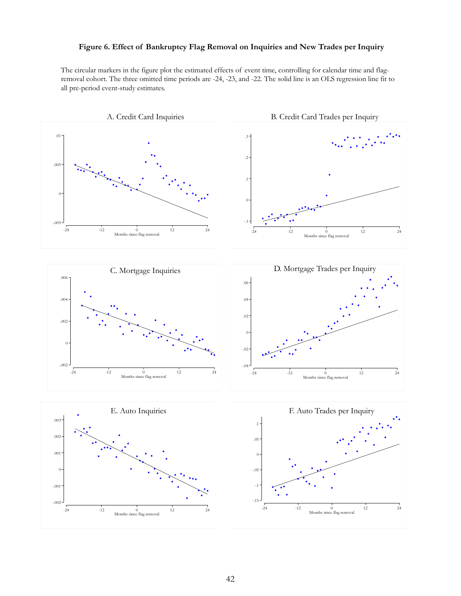#### **Figure 6. Effect of Bankruptcy Flag Removal on Inquiries and New Trades per Inquiry**

The circular markers in the figure plot the estimated effects of event time, controlling for calendar time and flagremoval cohort. The three omitted time periods are -24, -23, and -22. The solid line is an OLS regression line fit to all pre-period event-study estimates.

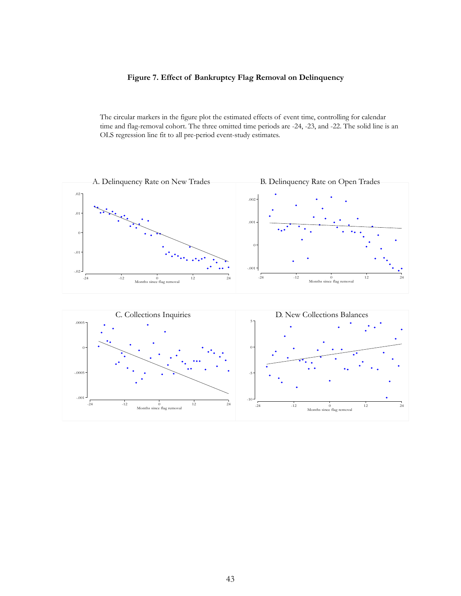#### **Figure 7. Effect of Bankruptcy Flag Removal on Delinquency**

The circular markers in the figure plot the estimated effects of event time, controlling for calendar time and flag-removal cohort. The three omitted time periods are -24, -23, and -22. The solid line is an OLS regression line fit to all pre-period event-study estimates.



 $-10 -$ 

-24  $-24$   $-12$  0  $12$  24<br>Months since flag removal 12 24

-.001

 $\begin{array}{ccc}\n\frac{1}{2} & \frac{1}{2} & \frac{1}{2} \\
\frac{1}{2} & \frac{1}{2} & \frac{1}{2}\n\end{array}$ Months since flag removal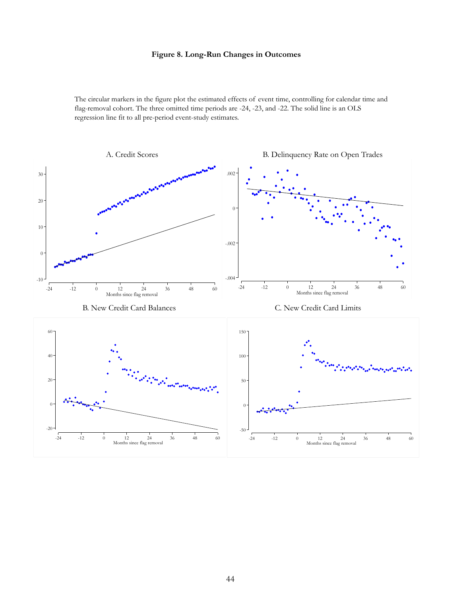#### **Figure 8. Long-Run Changes in Outcomes**

The circular markers in the figure plot the estimated effects of event time, controlling for calendar time and flag-removal cohort. The three omitted time periods are -24, -23, and -22. The solid line is an OLS regression line fit to all pre-period event-study estimates.

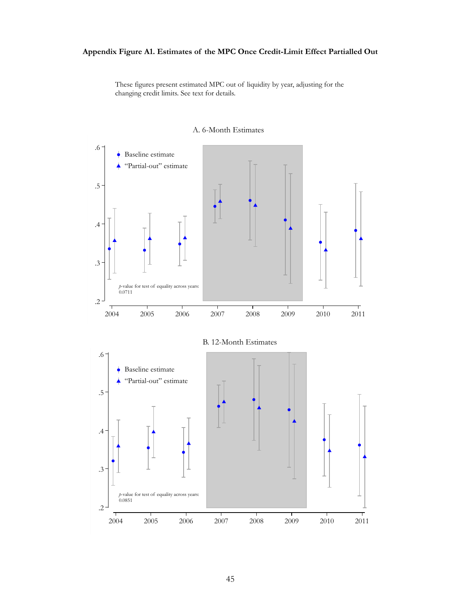### **Appendix Figure A1. Estimates of the MPC Once Credit-Limit Effect Partialled Out**

These figures present estimated MPC out of liquidity by year, adjusting for the changing credit limits. See text for details.



#### A. 6-Month Estimates

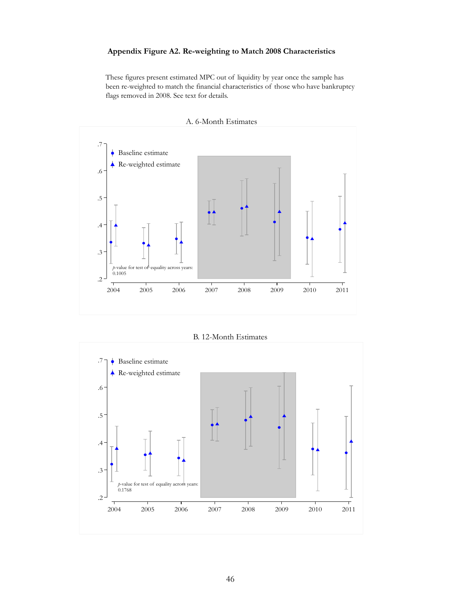#### **Appendix Figure A2. Re-weighting to Match 2008 Characteristics**

These figures present estimated MPC out of liquidity by year once the sample has been re-weighted to match the financial characteristics of those who have bankruptcy flags removed in 2008. See text for details.



B. 12-Month Estimates